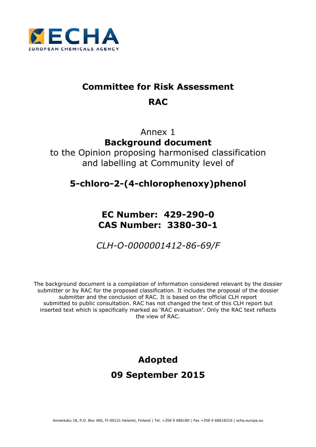

# **Committee for Risk Assessment RAC**

# Annex 1 **Background document**

to the Opinion proposing harmonised classification and labelling at Community level of

# **5-chloro-2-(4-chlorophenoxy)phenol**

# **EC Number: 429-290-0 CAS Number: 3380-30-1**

*CLH-O-0000001412-86-69/F* 

The background document is a compilation of information considered relevant by the dossier submitter or by RAC for the proposed classification. It includes the proposal of the dossier submitter and the conclusion of RAC. It is based on the official CLH report submitted to public consultation. RAC has not changed the text of this CLH report but inserted text which is specifically marked as 'RAC evaluation'. Only the RAC text reflects the view of RAC.

# **Adopted 09 September 2015**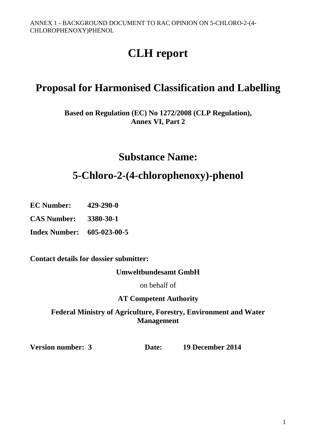# **CLH report**

# **Proposal for Harmonised Classification and Labelling**

**Based on Regulation (EC) No 1272/2008 (CLP Regulation), Annex VI, Part 2** 

# **Substance Name:**

# **5-Chloro-2-(4-chlorophenoxy)-phenol**

**EC Number: 429-290-0**

**CAS Number: 3380-30-1** 

**Index Number: 605-023-00-5**

**Contact details for dossier submitter:** 

**Umweltbundesamt GmbH** 

on behalf of

# **AT Competent Authority**

**Federal Ministry of Agriculture, Forestry, Environment and Water Management** 

**Version number: 3 Date: 19 December 2014**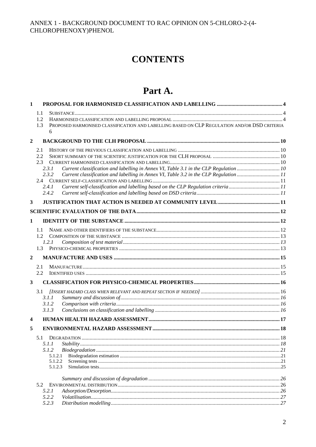# **CONTENTS**

# Part A.

| $\mathbf{1}$            |                                                                                                          |  |
|-------------------------|----------------------------------------------------------------------------------------------------------|--|
|                         | 1.1                                                                                                      |  |
|                         | 1.2                                                                                                      |  |
|                         | PROPOSED HARMONISED CLASSIFICATION AND LABELLING BASED ON CLP REGULATION AND/OR DSD CRITERIA<br>1.3<br>6 |  |
| $\mathbf{2}$            |                                                                                                          |  |
|                         | 2.1                                                                                                      |  |
|                         | 2.2                                                                                                      |  |
|                         | 2.3                                                                                                      |  |
|                         | Current classification and labelling in Annex VI, Table 3.1 in the CLP Regulation 10<br>2.3.1            |  |
|                         | 2.3.2<br>Current classification and labelling in Annex VI, Table 3.2 in the CLP Regulation 11            |  |
|                         |                                                                                                          |  |
|                         | Current self-classification and labelling based on the CLP Regulation criteria11<br>2.4.1                |  |
|                         | 2.4.2                                                                                                    |  |
| 3                       |                                                                                                          |  |
|                         |                                                                                                          |  |
| 1                       |                                                                                                          |  |
|                         | 1.1                                                                                                      |  |
|                         | 1.2 <sub>1</sub>                                                                                         |  |
|                         | 1.2.1                                                                                                    |  |
|                         | 1.3                                                                                                      |  |
| $\overline{2}$          |                                                                                                          |  |
|                         | 2.1                                                                                                      |  |
|                         | 2.2                                                                                                      |  |
| $\mathbf{3}$            |                                                                                                          |  |
|                         | 3.1                                                                                                      |  |
|                         | 3.1.1                                                                                                    |  |
|                         | 3.1.2                                                                                                    |  |
|                         | 3.1.3                                                                                                    |  |
| $\overline{\mathbf{4}}$ |                                                                                                          |  |
| 5                       |                                                                                                          |  |
|                         | 5.1 DEGRADATION                                                                                          |  |
|                         | 5.1.1                                                                                                    |  |
|                         | 5.1.2                                                                                                    |  |
|                         | 5.1.2.1                                                                                                  |  |
|                         | 5.1.2.2<br>5.1.2.3                                                                                       |  |
|                         |                                                                                                          |  |
|                         |                                                                                                          |  |
|                         | 5.2                                                                                                      |  |
|                         | 5.2.1<br>5.2.2                                                                                           |  |
|                         | 5.2.3                                                                                                    |  |
|                         |                                                                                                          |  |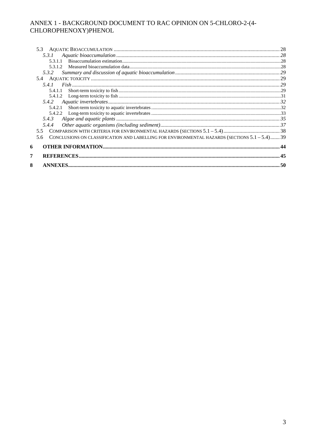| 5.3.2                                                                                                |  |
|------------------------------------------------------------------------------------------------------|--|
|                                                                                                      |  |
|                                                                                                      |  |
| 5.4.1.1                                                                                              |  |
|                                                                                                      |  |
|                                                                                                      |  |
|                                                                                                      |  |
|                                                                                                      |  |
| 5.4.3                                                                                                |  |
| 5.4.4                                                                                                |  |
| 55                                                                                                   |  |
| CONCLUSIONS ON CLASSIFICATION AND LABELLING FOR ENVIRONMENTAL HAZARDS (SECTIONS 5.1 - 5.4) 39<br>5.6 |  |
|                                                                                                      |  |
|                                                                                                      |  |
|                                                                                                      |  |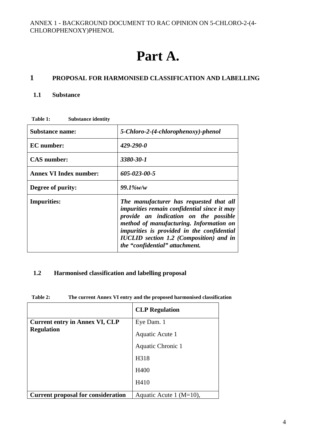# **Part A.**

#### **1 PROPOSAL FOR HARMONISED CLASSIFICATION AND LABELLING**

#### **1.1 Substance**

| <b>Substance name:</b>        | 5-Chloro-2-(4-chlorophenoxy)-phenol                                                                                                                                                                                                                                                                                 |
|-------------------------------|---------------------------------------------------------------------------------------------------------------------------------------------------------------------------------------------------------------------------------------------------------------------------------------------------------------------|
| <b>EC</b> number:             | $429 - 290 - 0$                                                                                                                                                                                                                                                                                                     |
| <b>CAS</b> number:            | 3380-30-1                                                                                                                                                                                                                                                                                                           |
| <b>Annex VI Index number:</b> | 605-023-00-5                                                                                                                                                                                                                                                                                                        |
| Degree of purity:             | $99.1\%$ w/w                                                                                                                                                                                                                                                                                                        |
| <b>Impurities:</b>            | The manufacturer has requested that all<br><i>impurities remain confidential since it may</i><br>provide an indication on the possible<br>method of manufacturing. Information on<br>impurities is provided in the confidential<br><b>IUCLID</b> section 1.2 (Composition) and in<br>the "confidential" attachment. |

**Table 1: Substance identity** 

# **1.2 Harmonised classification and labelling proposal**

**Table 2: The current Annex VI entry and the proposed harmonised classification** 

|                                                            | <b>CLP</b> Regulation       |
|------------------------------------------------------------|-----------------------------|
| <b>Current entry in Annex VI, CLP</b><br><b>Regulation</b> | Eye Dam. 1                  |
|                                                            | Aquatic Acute 1             |
|                                                            | Aquatic Chronic 1           |
|                                                            | H318                        |
|                                                            | H400                        |
|                                                            | H410                        |
| <b>Current proposal for consideration</b>                  | Aquatic Acute 1 ( $M=10$ ), |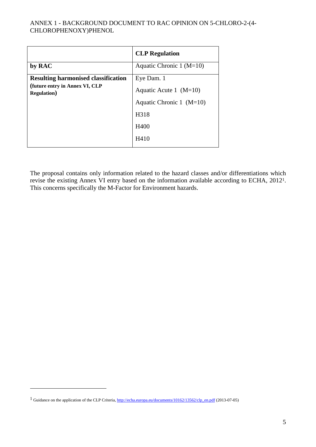|                                                       | <b>CLP</b> Regulation      |
|-------------------------------------------------------|----------------------------|
| by RAC                                                | Aquatic Chronic 1 $(M=10)$ |
| <b>Resulting harmonised classification</b>            | Eye Dam. 1                 |
| (future entry in Annex VI, CLP<br><b>Regulation</b> ) | Aquatic Acute 1 $(M=10)$   |
|                                                       | Aquatic Chronic 1 $(M=10)$ |
|                                                       | H <sub>3</sub> 18          |
|                                                       | H400                       |
|                                                       | H410                       |

The proposal contains only information related to the hazard classes and/or differentiations which revise the existing Annex VI entry based on the information available according to ECHA, 20121. This concerns specifically the M-Factor for Environment hazards.

 $\overline{a}$ 

<sup>&</sup>lt;sup>1</sup> Guidance on the application of the CLP Criteria, http://echa.europa.eu/documents/10162/13562/clp\_en.pdf (2013-07-05)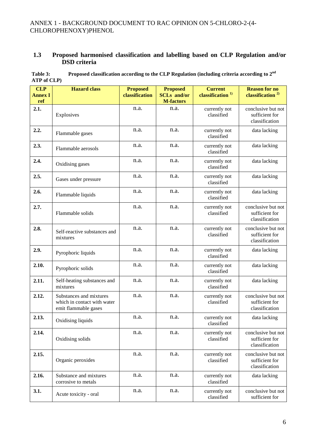## **1.3 Proposed harmonised classification and labelling based on CLP Regulation and/or DSD criteria**

| Table 3:    | Proposed classification according to the CLP Regulation (including criteria according to $2nd$ |
|-------------|------------------------------------------------------------------------------------------------|
| ATP of CLP) |                                                                                                |

| <b>CLP</b><br><b>Annex I</b><br>ref | <b>Hazard</b> class                                                            | <b>Proposed</b><br>classification | <b>Proposed</b><br><b>SCLs</b> and/or<br><b>M-factors</b> | <b>Current</b><br>classification <sup>1)</sup> | <b>Reason for no</b><br>classification <sup>2)</sup>   |
|-------------------------------------|--------------------------------------------------------------------------------|-----------------------------------|-----------------------------------------------------------|------------------------------------------------|--------------------------------------------------------|
| 2.1.                                | Explosives                                                                     | n.a.                              | n.a.                                                      | currently not<br>classified                    | conclusive but not<br>sufficient for<br>classification |
| 2.2.                                | Flammable gases                                                                | n.a.                              | n.a.                                                      | currently not<br>classified                    | data lacking                                           |
| 2.3.                                | Flammable aerosols                                                             | n.a.                              | n.a.                                                      | currently not<br>classified                    | data lacking                                           |
| 2.4.                                | Oxidising gases                                                                | n.a.                              | n.a.                                                      | currently not<br>classified                    | data lacking                                           |
| 2.5.                                | Gases under pressure                                                           | n.a.                              | n.a.                                                      | currently not<br>classified                    | data lacking                                           |
| 2.6.                                | Flammable liquids                                                              | n.a.                              | n.a.                                                      | currently not<br>classified                    | data lacking                                           |
| 2.7.                                | Flammable solids                                                               | n.a.                              | n.a.                                                      | currently not<br>classified                    | conclusive but not<br>sufficient for<br>classification |
| 2.8.                                | Self-reactive substances and<br>mixtures                                       | n.a.                              | n.a.                                                      | currently not<br>classified                    | conclusive but not<br>sufficient for<br>classification |
| 2.9.                                | Pyrophoric liquids                                                             | n.a.                              | n.a.                                                      | currently not<br>classified                    | data lacking                                           |
| 2.10.                               | Pyrophoric solids                                                              | n.a.                              | n.a.                                                      | currently not<br>classified                    | data lacking                                           |
| 2.11.                               | Self-heating substances and<br>mixtures                                        | n.a.                              | n.a.                                                      | currently not<br>classified                    | data lacking                                           |
| 2.12.                               | Substances and mixtures<br>which in contact with water<br>emit flammable gases | n.a.                              | n.a.                                                      | currently not<br>classified                    | conclusive but not<br>sufficient for<br>classification |
| 2.13.                               | Oxidising liquids                                                              | n.a.                              | n.a.                                                      | currently not<br>classified                    | data lacking                                           |
| 2.14.                               | Oxidising solids                                                               | n.a.                              | n.a.                                                      | currently not<br>classified                    | conclusive but not<br>sufficient for<br>classification |
| 2.15.                               | Organic peroxides                                                              | n.a.                              | n.a.                                                      | currently not<br>classified                    | conclusive but not<br>sufficient for<br>classification |
| 2.16.                               | Substance and mixtures<br>corrosive to metals                                  | n.a.                              | n.a.                                                      | currently not<br>classified                    | data lacking                                           |
| 3.1.                                | Acute toxicity - oral                                                          | n.a.                              | n.a.                                                      | currently not<br>classified                    | conclusive but not<br>sufficient for                   |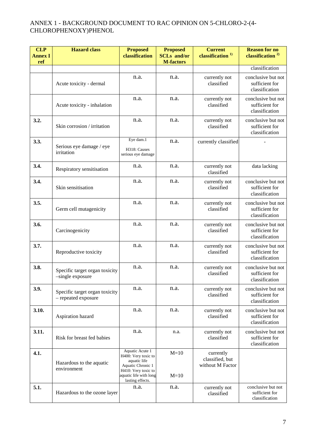| <b>CLP</b><br><b>Annex I</b><br>ref | <b>Hazard</b> class                                   | <b>Proposed</b><br>classification                                                                                                                | <b>Proposed</b><br><b>SCLs</b> and/or<br><b>M-factors</b> | <b>Current</b><br>classification <sup>1)</sup>   | <b>Reason for no</b><br>classification <sup>2)</sup>   |
|-------------------------------------|-------------------------------------------------------|--------------------------------------------------------------------------------------------------------------------------------------------------|-----------------------------------------------------------|--------------------------------------------------|--------------------------------------------------------|
|                                     |                                                       |                                                                                                                                                  |                                                           |                                                  | classification                                         |
|                                     | Acute toxicity - dermal                               | n.a.                                                                                                                                             | n.a.                                                      | currently not<br>classified                      | conclusive but not<br>sufficient for<br>classification |
|                                     | Acute toxicity - inhalation                           | n.a.                                                                                                                                             | n.a.                                                      | currently not<br>classified                      | conclusive but not<br>sufficient for<br>classification |
| 3.2.                                | Skin corrosion / irritation                           | n.a.                                                                                                                                             | n.a.                                                      | currently not<br>classified                      | conclusive but not<br>sufficient for<br>classification |
| 3.3.                                | Serious eye damage / eye<br>irritation                | Eye dam.1<br>H318: Causes<br>serious eye damage                                                                                                  | n.a.                                                      | currently classified                             |                                                        |
| 3.4.                                | Respiratory sensitisation                             | n.a.                                                                                                                                             | n.a.                                                      | currently not<br>classified                      | data lacking                                           |
| 3.4.                                | Skin sensitisation                                    | n.a.                                                                                                                                             | n.a.                                                      | currently not<br>classified                      | conclusive but not<br>sufficient for<br>classification |
| 3.5.                                | Germ cell mutagenicity                                | n.a.                                                                                                                                             | n.a.                                                      | currently not<br>classified                      | conclusive but not<br>sufficient for<br>classification |
| 3.6.                                | Carcinogenicity                                       | n.a.                                                                                                                                             | n.a.                                                      | currently not<br>classified                      | conclusive but not<br>sufficient for<br>classification |
| 3.7.                                | Reproductive toxicity                                 | n.a.                                                                                                                                             | n.a.                                                      | currently not<br>classified                      | conclusive but not<br>sufficient for<br>classification |
| 3.8.                                | Specific target organ toxicity<br>-single exposure    | n.a.                                                                                                                                             | n.a.                                                      | currently not<br>classified                      | conclusive but not<br>sufficient for<br>classification |
| 3.9.                                | Specific target organ toxicity<br>- repeated exposure | n.a.                                                                                                                                             | n.a.                                                      | currently not<br>classified                      | conclusive but not<br>sufficient for<br>classification |
| 3.10.                               | Aspiration hazard                                     | n.a.                                                                                                                                             | n.a.                                                      | currently not<br>classified                      | conclusive but not<br>sufficient for<br>classification |
| 3.11.                               | Risk for breast fed babies                            | n.a.                                                                                                                                             | n.a.                                                      | currently not<br>classified                      | conclusive but not<br>sufficient for<br>classification |
| 4.1.                                | Hazardous to the aquatic<br>environment               | Aquatic Acute 1<br>H400: Very toxic to<br>aquatic life<br>Aquatic Chronic 1<br>H410: Very toxic to<br>aquatic life with long<br>lasting effects. | $M=10$<br>$M=10$                                          | currently<br>classified, but<br>without M Factor |                                                        |
| 5.1.                                | Hazardous to the ozone layer                          | n.a.                                                                                                                                             | n.a.                                                      | currently not<br>classified                      | conclusive but not<br>sufficient for<br>classification |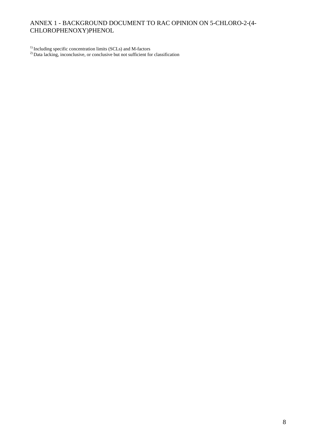<sup>1)</sup> Including specific concentration limits (SCLs) and M-factors

 $^{2)}$  Data lacking, inconclusive, or conclusive but not sufficient for classification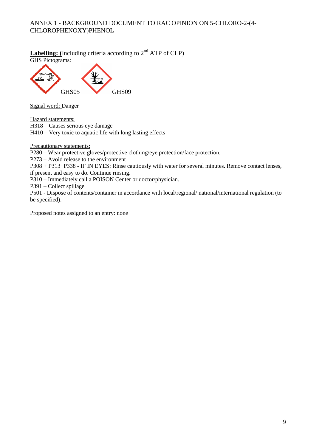# **Labelling:** (Including criteria according to  $2^{nd}$  ATP of CLP) GHS Pictograms:



Signal word: Danger

Hazard statements:

H318 – Causes serious eye damage

H410 – Very toxic to aquatic life with long lasting effects

Precautionary statements:

P280 – Wear protective gloves/protective clothing/eye protection/face protection.

P273 – Avoid release to the environment

P308 + P313+P338 - IF IN EYES: Rinse cautiously with water for several minutes. Remove contact lenses, if present and easy to do. Continue rinsing.

P310 – Immediately call a POISON Center or doctor/physician.

P391 – Collect spillage

P501 - Dispose of contents/container in accordance with local/regional/ national/international regulation (to be specified).

Proposed notes assigned to an entry: none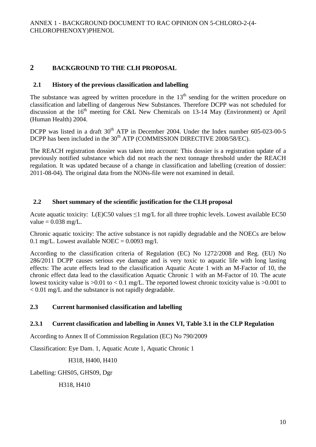# **2 BACKGROUND TO THE CLH PROPOSAL**

### **2.1 History of the previous classification and labelling**

The substance was agreed by written procedure in the  $13<sup>th</sup>$  sending for the written procedure on classification and labelling of dangerous New Substances. Therefore DCPP was not scheduled for discussion at the  $16<sup>th</sup>$  meeting for C&L New Chemicals on 13-14 May (Environment) or April (Human Health) 2004.

DCPP was listed in a draft 30<sup>th</sup> ATP in December 2004. Under the Index number 605-023-00-5 DCPP has been included in the  $30<sup>th</sup>$  ATP (COMMISSION DIRECTIVE 2008/58/EC).

The REACH registration dossier was taken into account: This dossier is a registration update of a previously notified substance which did not reach the next tonnage threshold under the REACH regulation. It was updated because of a change in classification and labelling (creation of dossier: 2011-08-04). The original data from the NONs-file were not examined in detail.

# **2.2 Short summary of the scientific justification for the CLH proposal**

Acute aquatic toxicity: L(E)C50 values  $\leq 1$  mg/L for all three trophic levels. Lowest available EC50 value  $= 0.038$  mg/L.

Chronic aquatic toxicity: The active substance is not rapidly degradable and the NOECs are below 0.1 mg/L. Lowest available NOEC =  $0.0093$  mg/l.

According to the classification criteria of Regulation (EC) No 1272/2008 and Reg. (EU) No 286/2011 DCPP causes serious eye damage and is very toxic to aquatic life with long lasting effects: The acute effects lead to the classification Aquatic Acute 1 with an M-Factor of 10, the chronic effect data lead to the classification Aquatic Chronic 1 with an M-Factor of 10. The acute lowest toxicity value is  $>0.01$  to  $< 0.1$  mg/L. The reported lowest chronic toxicity value is  $>0.001$  to < 0.01 mg/L and the substance is not rapidly degradable.

# **2.3 Current harmonised classification and labelling**

#### **2.3.1 Current classification and labelling in Annex VI, Table 3.1 in the CLP Regulation**

According to Annex II of Commission Regulation (EC) No 790/2009

Classification: Eye Dam. 1, Aquatic Acute 1, Aquatic Chronic 1

H318, H400, H410

Labelling: GHS05, GHS09, Dgr

H318, H410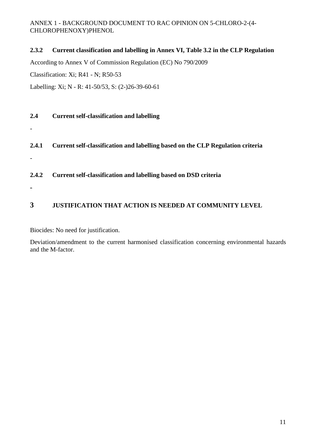# **2.3.2 Current classification and labelling in Annex VI, Table 3.2 in the CLP Regulation**

According to Annex V of Commission Regulation (EC) No 790/2009

Classification: Xi; R41 - N; R50-53

Labelling: Xi; N - R: 41-50/53, S: (2-)26-39-60-61

# **2.4 Current self-classification and labelling**

**2.4.1 Current self-classification and labelling based on the CLP Regulation criteria** 

### **2.4.2 Current self-classification and labelling based on DSD criteria**

**-** 

-

-

# **3 JUSTIFICATION THAT ACTION IS NEEDED AT COMMUNITY LEVEL**

Biocides: No need for justification.

Deviation/amendment to the current harmonised classification concerning environmental hazards and the M-factor.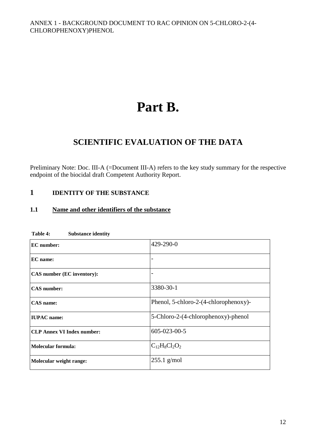# **Part B.**

# **SCIENTIFIC EVALUATION OF THE DATA**

Preliminary Note: Doc. III-A (=Document III-A) refers to the key study summary for the respective endpoint of the biocidal draft Competent Authority Report.

# **1 IDENTITY OF THE SUBSTANCE**

# **1.1 Name and other identifiers of the substance**

| <b>EC</b> number:                 | 429-290-0                             |
|-----------------------------------|---------------------------------------|
| EC name:                          |                                       |
| CAS number (EC inventory):        |                                       |
| <b>CAS</b> number:                | 3380-30-1                             |
| <b>CAS</b> name:                  | Phenol, 5-chloro-2-(4-chlorophenoxy)- |
| <b>IUPAC</b> name:                | 5-Chloro-2-(4-chlorophenoxy)-phenol   |
| <b>CLP Annex VI Index number:</b> | 605-023-00-5                          |
| <b>Molecular formula:</b>         | $C_{12}H_8Cl_2O_2$                    |
| Molecular weight range:           | $255.1$ g/mol                         |

#### **Table 4: Substance identity**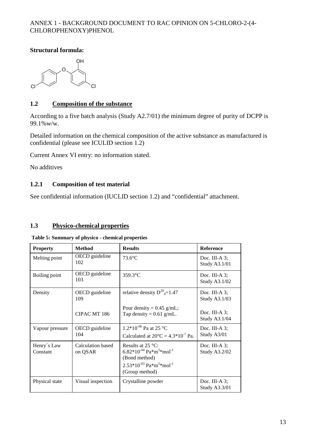### **Structural formula:**



## **1.2 Composition of the substance**

According to a five batch analysis (Study A2.7/01) the minimum degree of purity of DCPP is 99.1%w/w.

Detailed information on the chemical composition of the active substance as manufactured is confidential (please see ICULID section 1.2)

Current Annex VI entry: no information stated.

No additives

#### **1.2.1 Composition of test material**

See confidential information (IUCLID section 1.2) and "confidential" attachment.

#### **1.3 Physico-chemical properties**

| <b>Property</b>         | <b>Method</b>                | <b>Results</b>                                                                                                                                                     | <b>Reference</b>                         |
|-------------------------|------------------------------|--------------------------------------------------------------------------------------------------------------------------------------------------------------------|------------------------------------------|
| Melting point           | OECD guideline<br>102        | $73.6^{\circ}$ C                                                                                                                                                   | Doc. III-A $3$ :<br>Study A3.1/01        |
| Boiling point           | OECD guideline<br>103        | $359.3$ °C                                                                                                                                                         | Doc. III-A $3$ ;<br>Study A3.1/02        |
| Density                 | OECD guideline<br>109        | relative density $D^{20}_{4}$ =1.47                                                                                                                                | Doc. III-A $3$ :<br><b>Study A3.1/03</b> |
|                         | CIPAC MT 186                 | Pour density = $0.45$ g/mL;<br>Tap density = $0.61$ g/mL.                                                                                                          | Doc. III-A $3$ ;<br>Study A3.1/04        |
| Vapour pressure         | OECD guideline<br>104        | $1.2*10^{-06}$ Pa at 25 °C<br>Calculated at $20^{\circ}$ C = 4.3*10 <sup>-7</sup> Pa.                                                                              | Doc. III-A $3$ :<br>Study A3/01          |
| Henry's Law<br>Constant | Calculation based<br>on QSAR | Results at $25^{\circ}$ C:<br>$6.82*10^{-04}$ Pa $*$ m <sup>3</sup> $*$ mol <sup>-1</sup><br>(Bond method)<br>$2.53*10^{-03}$ Pa $*m^3*mol^{-1}$<br>(Group method) | Doc. III-A $3$ :<br><b>Study A3.2/02</b> |
| Physical state          | Visual inspection            | Crystalline powder                                                                                                                                                 | Doc. III-A $3$ ;<br><b>Study A3.3/01</b> |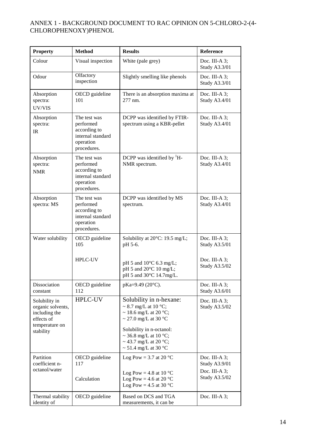| <b>Property</b>                                                                                  | <b>Method</b>                                                                              | <b>Results</b>                                                                                                                                                                                                                       | Reference                                                                  |
|--------------------------------------------------------------------------------------------------|--------------------------------------------------------------------------------------------|--------------------------------------------------------------------------------------------------------------------------------------------------------------------------------------------------------------------------------------|----------------------------------------------------------------------------|
| Colour                                                                                           | Visual inspection                                                                          | White (pale grey)                                                                                                                                                                                                                    | Doc. III-A $3$ ;<br>Study A3.3/01                                          |
| Odour                                                                                            | Olfactory<br>inspection                                                                    | Slightly smelling like phenols                                                                                                                                                                                                       | Doc. III-A $3$ ;<br>Study A3.3/01                                          |
| Absorption<br>spectra:<br>UV/VIS                                                                 | OECD guideline<br>101                                                                      | There is an absorption maxima at<br>277 nm.                                                                                                                                                                                          | Doc. III-A $3$ ;<br>Study A3.4/01                                          |
| Absorption<br>spectra:<br>IR                                                                     | The test was<br>performed<br>according to<br>internal standard<br>operation<br>procedures. | DCPP was identified by FTIR-<br>spectrum using a KBR-pellet                                                                                                                                                                          | Doc. III-A 3;<br>Study A3.4/01                                             |
| Absorption<br>spectra:<br><b>NMR</b>                                                             | The test was<br>performed<br>according to<br>internal standard<br>operation<br>procedures. | DCPP was identified by ${}^{1}H-$<br>NMR spectrum.                                                                                                                                                                                   | Doc. III-A $3$ ;<br>Study A3.4/01                                          |
| Absorption<br>spectra: MS                                                                        | The test was<br>performed<br>according to<br>internal standard<br>operation<br>procedures. | DCPP was identified by MS<br>spectrum.                                                                                                                                                                                               | Doc. III-A 3;<br>Study A3.4/01                                             |
| Water solubility                                                                                 | OECD guideline<br>105                                                                      | Solubility at 20°C: 19.5 mg/L;<br>pH 5-6.                                                                                                                                                                                            | Doc. III-A 3;<br>Study A3.5/01                                             |
|                                                                                                  | <b>HPLC-UV</b>                                                                             | pH 5 and 10°C 6.3 mg/L;<br>pH 5 and 20°C 10 mg/L;<br>pH 5 and 30°C 14.7mg/L.                                                                                                                                                         | Doc. III-A $3$ ;<br>Study A3.5/02                                          |
| Dissociation<br>constant                                                                         | OECD guideline<br>112                                                                      | pKa=9.49 (20°C).                                                                                                                                                                                                                     | Doc. III-A $3$ ;<br>Study A3.6/01                                          |
| Solubility in<br>organic solvents,<br>including the<br>effects of<br>temperature on<br>stability | HPLC-UV                                                                                    | Solubility in n-hexane:<br>$\sim$ 8.7 mg/L at 10 °C;<br>$\sim$ 18.6 mg/L at 20 °C;<br>$\sim$ 27.0 mg/L at 30 °C<br>Solubility in n-octanol:<br>~ 36.8 mg/L at 10 °C;<br>~ 43.7 mg/L at 20 $^{\circ}$ C;<br>$\sim$ 51.4 mg/L at 30 °C | Doc. III-A $3$ ;<br>Study A3.5/02                                          |
| Partition<br>coefficient n-<br>octanol/water                                                     | OECD guideline<br>117<br>Calculation                                                       | Log Pow = 3.7 at 20 $^{\circ}$ C<br>Log Pow = 4.8 at 10 $^{\circ}$ C<br>Log Pow = 4.6 at 20 $^{\circ}$ C<br>Log Pow = 4.5 at 30 $^{\circ}$ C                                                                                         | Doc. III-A $3$ ;<br><b>Study A3.9/01</b><br>Doc. III-A 3;<br>Study A3.5/02 |
| Thermal stability<br>identity of                                                                 | OECD guideline                                                                             | Based on DCS and TGA<br>measurements, it can be                                                                                                                                                                                      | Doc. III-A $3$ ;                                                           |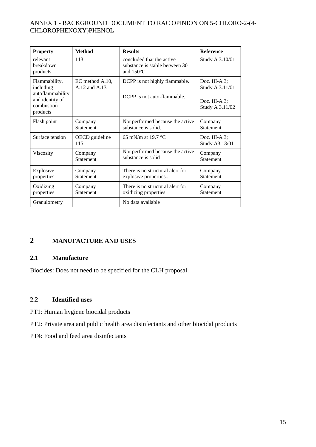| <b>Property</b>                                                                             | <b>Method</b>                    | <b>Results</b>                                                                      | <b>Reference</b>                                                           |
|---------------------------------------------------------------------------------------------|----------------------------------|-------------------------------------------------------------------------------------|----------------------------------------------------------------------------|
| relevant<br>breakdown<br>products                                                           | 113                              | concluded that the active<br>substance is stable between 30<br>and $150^{\circ}$ C. | Study A 3.10/01                                                            |
| Flammability,<br>including<br>autoflammability<br>and identity of<br>combustion<br>products | EC method A.10,<br>A.12 and A.13 | DCPP is not highly flammable.<br>DCPP is not auto-flammable.                        | Doc. III-A $3$ ;<br>Study A 3.11/01<br>Doc. III-A $3$ ;<br>Study A 3.11/02 |
| Flash point                                                                                 | Company<br><b>Statement</b>      | Not performed because the active<br>substance is solid.                             | Company<br><b>Statement</b>                                                |
| Surface tension                                                                             | OECD guideline<br>115            | 65 mN/m at 19.7 $^{\circ}$ C                                                        | Doc. III-A $3$ ;<br>Study A3.13/01                                         |
| Viscosity                                                                                   | Company<br><b>Statement</b>      | Not performed because the active<br>substance is solid                              | Company<br><b>Statement</b>                                                |
| Explosive<br>properties                                                                     | Company<br><b>Statement</b>      | There is no structural alert for<br>explosive properties                            | Company<br><b>Statement</b>                                                |
| Oxidizing<br>properties                                                                     | Company<br><b>Statement</b>      | There is no structural alert for<br>oxidizing properties.                           | Company<br><b>Statement</b>                                                |
| Granulometry                                                                                |                                  | No data available                                                                   |                                                                            |

# **2 MANUFACTURE AND USES**

#### **2.1 Manufacture**

Biocides: Does not need to be specified for the CLH proposal.

# **2.2 Identified uses**

- PT1: Human hygiene biocidal products
- PT2: Private area and public health area disinfectants and other biocidal products
- PT4: Food and feed area disinfectants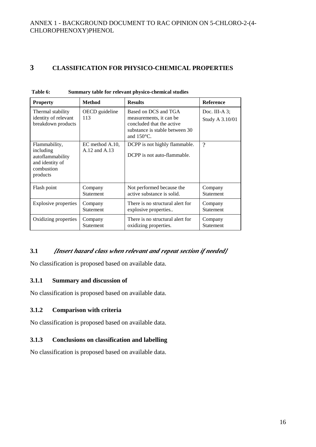# **3 CLASSIFICATION FOR PHYSICO-CHEMICAL PROPERTIES**

| <b>Property</b>                                                                             | <b>Method</b>                    | <b>Results</b>                                                                                                                         | <b>Reference</b>                 |
|---------------------------------------------------------------------------------------------|----------------------------------|----------------------------------------------------------------------------------------------------------------------------------------|----------------------------------|
| Thermal stability<br>identity of relevant<br>breakdown products                             | OECD guideline<br>113            | Based on DCS and TGA<br>measurements, it can be<br>concluded that the active<br>substance is stable between 30<br>and $150^{\circ}$ C. | Doc. III-A 3;<br>Study A 3.10/01 |
| Flammability,<br>including<br>autoflammability<br>and identity of<br>combustion<br>products | EC method A.10.<br>A.12 and A.13 | DCPP is not highly flammable.<br>DCPP is not auto-flammable.                                                                           | $\gamma$                         |
| Flash point                                                                                 | Company                          | Not performed because the                                                                                                              | Company                          |
|                                                                                             | <b>Statement</b>                 | active substance is solid.                                                                                                             | <b>Statement</b>                 |
| Explosive properties                                                                        | Company                          | There is no structural alert for                                                                                                       | Company                          |
|                                                                                             | <b>Statement</b>                 | explosive properties                                                                                                                   | <b>Statement</b>                 |
| Oxidizing properties                                                                        | Company                          | There is no structural alert for                                                                                                       | Company                          |
|                                                                                             | <b>Statement</b>                 | oxidizing properties.                                                                                                                  | <b>Statement</b>                 |

| Table 6: | Summary table for relevant physico-chemical studies |  |
|----------|-----------------------------------------------------|--|
|          |                                                     |  |

# **3.1** *[Insert hazard class when relevant and repeat section if needed]*

No classification is proposed based on available data.

#### **3.1.1 Summary and discussion of**

No classification is proposed based on available data.

#### **3.1.2 Comparison with criteria**

No classification is proposed based on available data.

#### **3.1.3 Conclusions on classification and labelling**

No classification is proposed based on available data.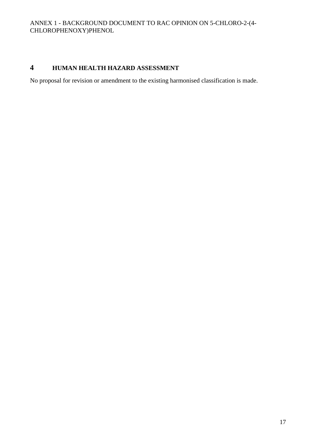# **4 HUMAN HEALTH HAZARD ASSESSMENT**

No proposal for revision or amendment to the existing harmonised classification is made.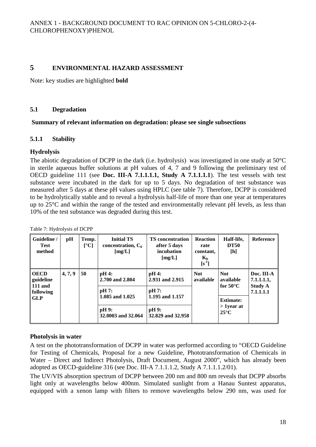# **5 ENVIRONMENTAL HAZARD ASSESSMENT**

Note: key studies are highlighted **bold**

#### **5.1 Degradation**

#### **Summary of relevant information on degradation: please see single subsections**

#### **5.1.1 Stability**

#### **Hydrolysis**

The abiotic degradation of DCPP in the dark (i.e. hydrolysis) was investigated in one study at 50°C in sterile aqueous buffer solutions at pH values of 4, 7 and 9 following the preliminary test of OECD guideline 111 (see **Doc. III-A 7.1.1.1.1, Study A 7.1.1.1.1**). The test vessels with test substance were incubated in the dark for up to 5 days. No degradation of test substance was measured after 5 days at these pH values using HPLC (see table 7). Therefore, DCPP is considered to be hydrolytically stable and to reveal a hydrolysis half-life of more than one year at temperatures up to 25°C and within the range of the tested and environmentally relevant pH levels, as less than 10% of the test substance was degraded during this test.

| Guideline /<br><b>Test</b><br>method      | pH      | Temp.<br>[°C] | <b>Initial TS</b><br>concentration, $C_0$<br>[mg/L] | <b>TS</b> concentration<br>after 5 days<br>incubation<br>[mg/L] | <b>Reaction</b><br>rate<br>constant,<br>$K_h$<br>$[s^{-1}]$ | Half-life,<br><b>DT50</b><br>[h]       | <b>Reference</b>            |
|-------------------------------------------|---------|---------------|-----------------------------------------------------|-----------------------------------------------------------------|-------------------------------------------------------------|----------------------------------------|-----------------------------|
| <b>OECD</b><br>guideline                  | 4, 7, 9 | 50            | $pH4$ :<br>2.700 and 2.804                          | pH 4:<br>2.931 and 2.915                                        | <b>Not</b><br>available                                     | <b>Not</b><br>available                | Doc. III-A<br>7.1.1.1.1,    |
| <b>111 and</b><br>following<br><b>GLP</b> |         |               | pH 7:<br>1.085 and 1.025                            | pH 7:<br>1.195 and 1.157                                        |                                                             | for $50^{\circ}$ C<br><b>Estimate:</b> | <b>Study A</b><br>7.1.1.1.1 |
|                                           |         |               | pH 9:<br>32,0003 and 32,064                         | pH 9:<br>32.829 and 32.958                                      |                                                             | $>1$ year at<br>$25^{\circ}$ C         |                             |

Table 7: Hydrolysis of DCPP

#### **Photolysis in water**

A test on the phototransformation of DCPP in water was performed according to "OECD Guideline for Testing of Chemicals, Proposal for a new Guideline, Phototransformation of Chemicals in Water – Direct and Indirect Photolysis, Draft Document, August 2000", which has already been adopted as OECD-guideline 316 (see Doc. III-A 7.1.1.1.2, Study A 7.1.1.1.2/01).

The UV/VIS absorption spectrum of DCPP between 200 nm and 800 nm reveals that DCPP absorbs light only at wavelengths below 400nm. Simulated sunlight from a Hanau Suntest apparatus, equipped with a xenon lamp with filters to remove wavelengths below 290 nm, was used for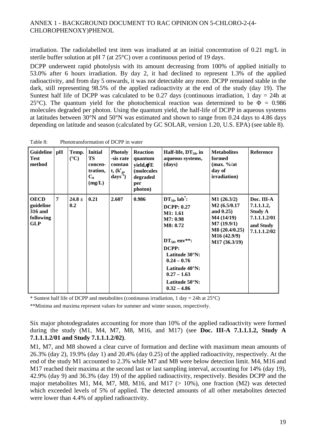irradiation. The radiolabelled test item was irradiated at an initial concentration of 0.21 mg/L in sterile buffer solution at pH 7 (at 25°C) over a continuous period of 19 days.

DCPP underwent rapid photolysis with its amount decreasing from 100% of applied initially to 53.0% after 6 hours irradiation. By day 2, it had declined to represent 1.3% of the applied radioactivity, and from day 5 onwards, it was not detectable any more. DCPP remained stable in the dark, still representing 98.5% of the applied radioactivity at the end of the study (day 19). The Suntest half life of DCPP was calculated to be  $0.27$  days (continuous irradiation, 1 day = 24h at 25<sup>°</sup>C). The quantum yield for the photochemical reaction was determined to be  $\Phi = 0.986$ molecules degraded per photon. Using the quantum yield, the half-life of DCPP in aqueous systems at latitudes between 30°N and 50°N was estimated and shown to range from 0.24 days to 4.86 days depending on latitude and season (calculated by GC SOLAR, version 1.20, U.S. EPA) (see table 8).

| Guideline<br><b>Test</b><br>method                             | pH             | Temp.<br>$({}^{\circ}C)$ | <b>Initial</b><br>TS<br>concen-<br>tration,<br>$C_0$<br>(mg/L) | <b>Photoly</b><br>-sis rate<br>constan<br>$t, (k_{p}^{c},$<br>$\text{days}^1$ | <b>Reaction</b><br>quantum<br>yield,φ <sup>c</sup> E<br>(molecules<br>degraded<br>per<br>photon) | Half-life, $DT_{50}$ , in<br>aqueous systems,<br>(days)                                                                                                                                                                         | <b>Metabolites</b><br>formed<br>$(max. \%at$<br>day of<br>irradiation)                                                  | <b>Reference</b>                                                                        |
|----------------------------------------------------------------|----------------|--------------------------|----------------------------------------------------------------|-------------------------------------------------------------------------------|--------------------------------------------------------------------------------------------------|---------------------------------------------------------------------------------------------------------------------------------------------------------------------------------------------------------------------------------|-------------------------------------------------------------------------------------------------------------------------|-----------------------------------------------------------------------------------------|
| <b>OECD</b><br>guideline<br>316 and<br>following<br><b>GLP</b> | $\overline{7}$ | 24.8 $\pm$<br>0.2        | 0.21                                                           | 2.607                                                                         | 0.986                                                                                            | $DT_{50}$ , lab <sup>*</sup> :<br><b>DCPP: 0.27</b><br>M1: 1.61<br>M7: 0.98<br>M8: 0.72<br>$DT_{50}$ , env**:<br>DCPP:<br>Latitude 30°N:<br>$0.24 - 0.76$<br>Latitude 40°N:<br>$0.27 - 1.63$<br>Latitude 50°N:<br>$0.32 - 4.86$ | M1(26.3/2)<br>M2(6.5/0.17)<br>and $0.25$ )<br>M4(14/19)<br>M7(19.9/1)<br>M8(20.4/0.25)<br>M16 (42.9/9)<br>M17 (36.3/19) | Doc. III-A<br>7.1.1.1.2,<br><b>Study A</b><br>7.1.1.1.2/01<br>and Study<br>7.1.1.1.2/02 |

Table 8: Phototransformation of DCPP in water

\* Suntest half life of DCPP and metabolites (continuous irradiation, 1 day = 24h at  $25^{\circ}$ C)

\*\*Minima and maxima represent values for summer and winter season, respectively.

Six major photodegradates accounting for more than 10% of the applied radioactivity were formed during the study (M1, M4, M7, M8, M16, and M17) (see **Doc. III-A 7.1.1.1.2, Study A 7.1.1.1.2/01 and Study 7.1.1.1.2/02)**.

M1, M7, and M8 showed a clear curve of formation and decline with maximum mean amounts of 26.3% (day 2), 19.9% (day 1) and 20.4% (day 0.25) of the applied radioactivity, respectively. At the end of the study M1 accounted to 2.3% while M7 and M8 were below detection limit. M4, M16 and M17 reached their maxima at the second last or last sampling interval, accounting for 14% (day 19), 42.9% (day 9) and 36.3% (day 19) of the applied radioactivity, respectively. Besides DCPP and the major metabolites M1, M4, M7, M8, M16, and M17  $(> 10\%)$ , one fraction (M2) was detected which exceeded levels of 5% of applied. The detected amounts of all other metabolites detected were lower than 4.4% of applied radioactivity.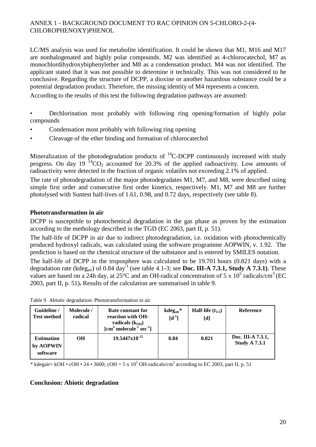LC/MS analysis was used for metabolite identification. It could be shown that M1, M16 and M17 are nonhalogenated and highly polar compounds. M2 was identified as 4-chlorocatechol, M7 as monochlordihydroxybiphenylether and M8 as a condensation product. M4 was not identified. The applicant stated that it was not possible to determine it technically. This was not considered to be conclusive. Regarding the structure of DCPP, a dioxine or another hazardous substance could be a potential degradation product. Therefore, the missing identity of M4 represents a concern.

According to the results of this test the following degradation pathways are assumed:

- Dechlorination most probably with following ring opening/formation of highly polar compounds
- Condensation most probably with following ring opening
- Cleavage of the ether binding and formation of chlorocatechol

Mineralization of the photodegradation products of  ${}^{14}$ C-DCPP continuously increased with study progress. On day 19<sup>14</sup>CO<sub>2</sub> accounted for 20.3% of the applied radioactivity. Low amounts of radioactivity were detected in the fraction of organic volatiles not exceeding 2.1% of applied.

The rate of photodegradation of the major photodegradates M1, M7, and M8, were described using simple first order and consecutive first order kinetics, respectively. M1, M7 and M8 are further photolysed with Suntest half-lives of 1.61, 0.98, and 0.72 days, respectively (see table 8).

### **Phototransformation in air**

DCPP is susceptible to photochemical degradation in the gas phase as proven by the estimation according to the methology described in the TGD (EC 2003, part II, p. 51).

The half-life of DCPP in air due to indirect photodegradation, i.e. oxidation with photochemically produced hydroxyl radicals, was calculated using the software programme AOPWIN, v. 1.92. The prediction is based on the chemical structure of the substance and is entered by SMILES notation.

The half-life of DCPP in the troposphere was calculated to be 19.701 hours (0.821 days) with a degradation rate (kdeg<sub>air</sub>) of 0.84 day<sup>-1</sup> (see table 4.1-3; see **Doc. III-A 7.3.1, Study A 7.3.1**). These values are based on a 24h day, at  $25^{\circ}$ C and an OH-radical concentration of 5 x  $10^5$  radicals/cm<sup>3</sup> (EC 2003, part II, p. 51)**.** Results of the calculation are summarised in table 9.

| Guideline /<br><b>Test method</b>          | Molecule /<br>radical | Rate constant for<br>reaction with OH-<br>radicals $(k_{OH})$<br>$\lceil$ cm <sup>3</sup> molecule <sup>-1</sup> sec <sup>-1</sup> $\rceil$ | $kdeg_{air}$ *<br>$[d^{-1}]$ | <b>Half-life</b> $(t_{1/2})$<br>$[d]$ | Reference                                 |
|--------------------------------------------|-----------------------|---------------------------------------------------------------------------------------------------------------------------------------------|------------------------------|---------------------------------------|-------------------------------------------|
| <b>Estimation</b><br>by AOPWIN<br>software | OН                    | $19.5447x10^{-12}$                                                                                                                          | 0.84                         | 0.821                                 | Doc. III-A 7.3.1,<br><b>Study A 7.3.1</b> |

Table 9 Abiotic degradation: Phototransformation in air

\* kdegair= kOH • cOH • 24 • 3600; cOH = 5 x 10<sup>5</sup> OH-radicals/cm<sup>3</sup> according to EC 2003, part II, p. 51

#### **Conclusion: Abiotic degradation**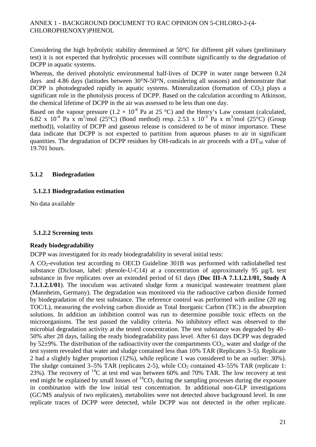Considering the high hydrolytic stability determined at 50°C for different pH values (preliminary test) it is not expected that hydrolytic processes will contribute significantly to the degradation of DCPP in aquatic systems.

Whereas, the derived photolytic environmental half-lives of DCPP in water range between 0.24 days and 4.86 days (latitudes between 30°N-50°N, considering all seasons) and demonstrate that DCPP is photodegraded rapidly in aquatic systems. Mineralization (formation of  $CO<sub>2</sub>$ ) plays a significant role in the photolysis process of DCPP. Based on the calculation according to Atkinson, the chemical lifetime of DCPP in the air was assessed to be less than one day.

Based on the vapour pressure (1.2  $\times$  10<sup>-6</sup> Pa at 25 °C) and the Henry's Law constant (calculated, 6.82 x 10<sup>-4</sup> Pa x m<sup>3</sup>/mol (25°C) (Bond method) resp. 2.53 x 10<sup>-3</sup> Pa x m<sup>3</sup>/mol (25°C) (Group method)), volatility of DCPP and gaseous release is considered to be of minor importance. These data indicate that DCPP is not expected to partition from aqueous phases to air in significant quantities. The degradation of DCPP residues by OH-radicals in air proceeds with a  $DT_{50}$  value of 19.701 hours.

#### **5.1.2 Biodegradation**

#### **5.1.2.1 Biodegradation estimation**

No data available

#### **5.1.2.2 Screening tests**

#### **Ready biodegradability**

DCPP was investigated for its ready biodegradability in several initial tests:

A CO2-evolution test according to OECD Guideline 301B was performed with radiolabelled test substance (Diclosan, label: phenole-U-C14) at a concentration of approximately 95 µg/L test substance in five replicates over an extended period of 61 days (**Doc III-A 7.1.1.2.1/01, Study A 7.1.1.2.1/01**). The inoculum was activated sludge form a municipal wastewater treatment plant (Mannheim, Germany). The degradation was monitored via the radioactive carbon dioxide formed by biodegradation of the test substance. The reference control was performed with aniline (20 mg TOC/L), measuring the evolving carbon dioxide as Total Inorganic Carbon (TIC) in the absorption solutions. In addition an inhibition control was run to determine possible toxic effects on the microorganisms. The test passed the validity criteria. No inhibitory effect was observed to the microbial degradation activity at the tested concentration. The test substance was degraded by 40– 50% after 28 days, failing the ready biodegradability pass level. After 61 days DCPP was degraded by  $52\pm9\%$ . The distribution of the radioactivity over the compartments  $CO<sub>2</sub>$ , water and sludge of the test system revealed that water and sludge contained less than 10% TAR (Replicates 3–5). Replicate 2 had a slightly higher proportion (12%), while replicate 1 was considered to be an outlier: 30%). The sludge contained  $3-5\%$  TAR (replicates 2-5), while  $CO<sub>2</sub>$  contained  $43-55\%$  TAR (replicate 1: 23%). The recovery of  $^{14}$ C at test end was between 60% and 70% TAR. The low recovery at test end might be explained by small losses of  ${}^{14}CO_2$  during the sampling processes during the exposure in combination with the low initial test concentration. In additional non-GLP investigations (GC/MS analysis of two replicates), metabolites were not detected above background level. In one replicate traces of DCPP were detected, while DCPP was not detected in the other replicate.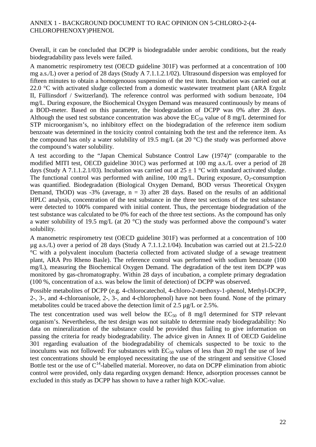Overall, it can be concluded that DCPP is biodegradable under aerobic conditions, but the ready biodegradability pass levels were failed.

A manometric respirometry test (OECD guideline 301F) was performed at a concentration of 100 mg a.s./L) over a period of 28 days (Study A 7.1.1.2.1/02). Ultrasound dispersion was employed for fifteen minutes to obtain a homogenouos suspension of the test item. Incubation was carried out at 22.0 °C with activated sludge collected from a domestic wastewater treatment plant (ARA Ergolz II, Füllinsdorf / Switzerland). The reference control was performed with sodium benzoate, 104 mg/L. During exposure, the Biochemical Oxygen Demand was measured continuously by means of a BOD-meter. Based on this parameter, the biodegradation of DCPP was 0% after 28 days. Although the used test substance concentration was above the  $EC_{50}$  value of 8 mg/L determined for STP microorganism's, no inhibitory effect on the biodegradation of the reference item sodium benzoate was determined in the toxicity control containing both the test and the reference item. As the compound has only a water solubility of 19.5 mg/L (at 20 °C) the study was performed above the compound's water solubility.

A test according to the "Japan Chemical Substance Control Law (1974)" (comparable to the modified MITI test, OECD guideline 301C) was performed at 100 mg a.s./L over a period of 28 days (Study A 7.1.1.2.1/03). Incubation was carried out at  $25 \pm 1$  °C with standard activated sludge. The functional control was performed with aniline, 100 mg/L. During exposure,  $O_2$ -consumption was quantified. Biodegradation (Biological Oxygen Demand, BOD versus Theoretical Oxygen Demand, ThOD) was -3% (average,  $n = 3$ ) after 28 days. Based on the results of an additional HPLC analysis, concentration of the test substance in the three test sections of the test substance were detected to 100% compared with initial content. Thus, the percentage biodegradation of the test substance was calculated to be 0% for each of the three test sections. As the compound has only a water solubility of 19.5 mg/L (at 20 °C) the study was performed above the compound's water solubility.

A manometric respirometry test (OECD guideline 301F) was performed at a concentration of 100 µg a.s./L) over a period of 28 days (Study A 7.1.1.2.1/04). Incubation was carried out at 21.5-22.0 °C with a polyvalent inoculum (bacteria collected from activated sludge of a sewage treatment plant, ARA Pro Rheno Basle). The reference control was performed with sodium benzoate (100 mg/L), measuring the Biochemical Oxygen Demand. The degradation of the test item DCPP was monitored by gas-chromatography. Within 28 days of incubation, a complete primary degradation (100 %, concentration of a.s. was below the limit of detection) of DCPP was observed.

Possible metabolites of DCPP (e.g. 4-chlorocatechol, 4-chloro-2-methoxy-1-phenol, Methyl-DCPP, 2-, 3-, and 4-chloroanisole, 2-, 3-, and 4-chlorophenol) have not been found. None of the primary metabolites could be traced above the detection limit of 2.5 µg/L or 2.5%.

The test concentration used was well below the  $EC_{50}$  of 8 mg/l determined for STP relevant organism's. Nevertheless, the test design was not suitable to determine ready biodegradability: No data on mineralization of the substance could be provided thus failing to give information on passing the criteria for ready biodegradability. The advice given in Annex II of OECD Guideline 301 regarding evaluation of the biodegradability of chemicals suspected to be toxic to the inoculums was not followed: For substances with  $EC_{50}$  values of less than 20 mg/l the use of low test concentrations should be employed necessitating the use of the stringent and sensitive Closed Bottle test or the use of  $C^{14}$ -labelled material. Moreover, no data on DCPP elimination from abiotic control were provided, only data regarding oxygen demand: Hence, adsorption processes cannot be excluded in this study as DCPP has shown to have a rather high KOC-value.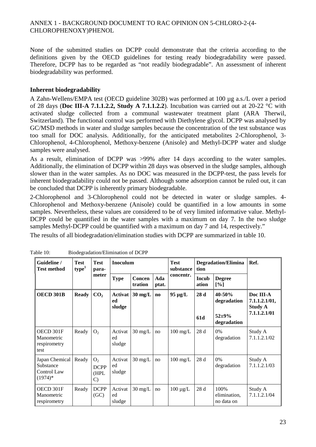None of the submitted studies on DCPP could demonstrate that the criteria according to the definitions given by the OECD guidelines for testing ready biodegradability were passed. Therefore, DCPP has to be regarded as "not readily biodegradable". An assessment of inherent biodegradability was performed.

#### **Inherent biodegradability**

A Zahn-Wellens/EMPA test (OECD guideline 302B) was performed at 100 µg a.s./L over a period of 28 days (**Doc III-A 7.1.1.2.2, Study A 7.1.1.2.2**). Incubation was carried out at 20-22 °C with activated sludge collected from a communal wastewater treatment plant (ARA Therwil, Switzerland). The functional control was performed with Diethylene glycol. DCPP was analysed by GC/MSD methods in water and sludge samples because the concentration of the test substance was too small for DOC analysis. Additionally, for the anticipated metabolites 2-Chlorophenol, 3- Chlorophenol, 4-Chlorophenol, Methoxy-benzene (Anisole) and Methyl-DCPP water and sludge samples were analysed.

As a result, elimination of DCPP was >99% after 14 days according to the water samples. Additionally, the elimination of DCPP within 28 days was observed in the sludge samples, although slower than in the water samples. As no DOC was measured in the DCPP-test, the pass levels for inherent biodegradability could not be passed. Although some adsorption cannot be ruled out, it can be concluded that DCPP is inherently primary biodegradable.

2-Chlorophenol and 3-Chlorophenol could not be detected in water or sludge samples. 4- Chlorophenol and Methoxy-benzene (Anisole) could be quantified in a low amounts in some samples. Nevertheless, these values are considered to be of very limited informative value. Methyl-DCPP could be quantified in the water samples with a maximum on day 7. In the two sludge samples Methyl-DCPP could be quantified with a maximum on day 7 and 14, respectively."

The results of all biodegradation/elimination studies with DCPP are summarized in table 10.

| Guideline /<br><b>Test method</b>                       | Test<br>type <sup>1</sup> | <b>Test</b><br>para-                        | <b>Inoculum</b>         |                   |              | <b>Test</b><br>substance | tion           | <b>Degradation/Elimina</b>         | Ref.                                  |
|---------------------------------------------------------|---------------------------|---------------------------------------------|-------------------------|-------------------|--------------|--------------------------|----------------|------------------------------------|---------------------------------------|
|                                                         |                           | meter                                       | <b>Type</b>             | Concen<br>tration | Ada<br>ptat. | concentr.                | Incub<br>ation | <b>Degree</b><br>[%]               |                                       |
| OECD 301B                                               | <b>Ready</b>              | CO <sub>2</sub>                             | Activat<br>ed<br>sludge | $30 \text{ mg/L}$ | $\bf{no}$    | $95 \mu g/L$             | 28d            | 40-50%<br>degradation              | Doc III-A<br>7.1.1.2.1/01,<br>Study A |
|                                                         |                           |                                             |                         |                   |              |                          | 61d            | $52 + 9%$<br>degradation           | 7.1.1.2.1/01                          |
| OECD 301F<br>Manometric<br>respirometry<br>test         | Ready                     | O <sub>2</sub>                              | Activat<br>ed<br>sludge | $30 \text{ mg/L}$ | no           | $100 \text{ mg/L}$       | 28d            | $0\%$<br>degradation               | Study A<br>7.1.1.2.1/02               |
| Japan Chemical<br>Substance<br>Control Law<br>$(1974)*$ | Ready                     | O <sub>2</sub><br><b>DCPP</b><br>(HPL<br>C) | Activat<br>ed<br>sludge | $30 \text{ mg/L}$ | no           | $100 \text{ mg/L}$       | 28d            | $0\%$<br>degradation               | Study A<br>7.1.1.2.1/03               |
| OECD 301F<br>Manometric<br>respirometry                 | Ready                     | <b>DCPP</b><br>(GC)                         | Activat<br>ed<br>sludge | $30 \text{ mg/L}$ | no           | $100 \mu g/L$            | 28d            | 100%<br>elimination,<br>no data on | Study A<br>7.1.1.2.1/04               |

Table 10: Biodegradation/Elimination of DCPP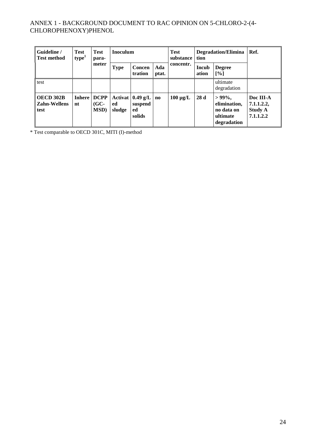| Guideline /<br>Test<br>type <sup>1</sup><br><b>Test method</b> |    | <b>Test</b><br>para-                    | Inoculum     |                                                         |                        | <b>Test</b><br>tion<br>substance | <b>Degradation/Elimina</b> | Ref.                                                               |                                                        |
|----------------------------------------------------------------|----|-----------------------------------------|--------------|---------------------------------------------------------|------------------------|----------------------------------|----------------------------|--------------------------------------------------------------------|--------------------------------------------------------|
|                                                                |    | meter                                   | <b>Type</b>  | Concen<br>tration                                       | Ada<br>ptat.           | concentr.                        | <b>Incub</b><br>ation      | <b>Degree</b><br>$\lceil\% \rceil$                                 |                                                        |
| test                                                           |    |                                         |              |                                                         |                        |                                  |                            | ultimate<br>degradation                                            |                                                        |
| OECD 302B<br><b>Zahn-Wellens</b><br>test                       | nt | Inhere   DCPP<br>$(GC-$<br><b>MSD</b> ) | ed<br>sludge | Activat $(0.49 \text{ g/L})$<br>suspend<br>ed<br>solids | $\mathbf{n}\mathbf{o}$ | $100 \mu g/L$                    | 28d                        | $>99\%$ ,<br>elimination,<br>no data on<br>ultimate<br>degradation | Doc III-A<br>7.1.1.2.2,<br><b>Study A</b><br>7.1.1.2.2 |

\* Test comparable to OECD 301C, MITI (I)-method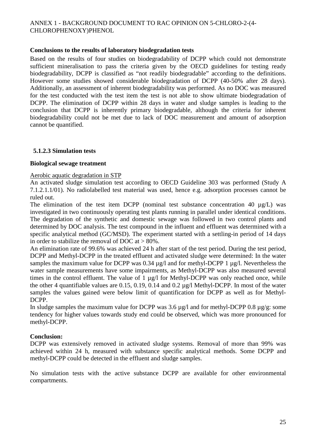#### **Conclusions to the results of laboratory biodegradation tests**

Based on the results of four studies on biodegradability of DCPP which could not demonstrate sufficient mineralisation to pass the criteria given by the OECD guidelines for testing ready biodegradability, DCPP is classified as "not readily biodegradable" according to the definitions. However some studies showed considerable biodegradation of DCPP (40-50% after 28 days). Additionally, an assessment of inherent biodegradability was performed. As no DOC was measured for the test conducted with the test item the test is not able to show ultimate biodegradation of DCPP. The elimination of DCPP within 28 days in water and sludge samples is leading to the conclusion that DCPP is inherently primary biodegradable, although the criteria for inherent biodegradability could not be met due to lack of DOC measurement and amount of adsorption cannot be quantified.

#### **5.1.2.3 Simulation tests**

#### **Biological sewage treatment**

#### Aerobic aquatic degradation in STP

An activated sludge simulation test according to OECD Guideline 303 was performed (Study A 7.1.2.1.1/01). No radiolabelled test material was used, hence e.g. adsorption processes cannot be ruled out.

The elimination of the test item DCPP (nominal test substance concentration 40  $\mu$ g/L) was investigated in two continuously operating test plants running in parallel under identical conditions. The degradation of the synthetic and domestic sewage was followed in two control plants and determined by DOC analysis. The test compound in the influent and effluent was determined with a specific analytical method (GC/MSD). The experiment started with a settling-in period of 14 days in order to stabilize the removal of DOC at  $> 80\%$ .

An elimination rate of 99.6% was achieved 24 h after start of the test period. During the test period, DCPP and Methyl-DCPP in the treated effluent and activated sludge were determined: In the water samples the maximum value for DCPP was 0.34  $\mu$ g/l and for methyl-DCPP 1  $\mu$ g/l. Nevertheless the water sample measurements have some impairments, as Methyl-DCPP was also measured several times in the control effluent. The value of 1  $\mu$ g/l for Methyl-DCPP was only reached once, while the other 4 quantifiable values are 0.15, 0.19, 0.14 and 0.2 µg/l Methyl-DCPP. In most of the water samples the values gained were below limit of quantification for DCPP as well as for Methyl-DCPP.

In sludge samples the maximum value for DCPP was 3.6  $\mu$ g/l and for methyl-DCPP 0.8  $\mu$ g/g: some tendency for higher values towards study end could be observed, which was more pronounced for methyl-DCPP.

#### **Conclusion:**

DCPP was extensively removed in activated sludge systems. Removal of more than 99% was achieved within 24 h, measured with substance specific analytical methods. Some DCPP and methyl-DCPP could be detected in the effluent and sludge samples.

No simulation tests with the active substance DCPP are available for other environmental compartments.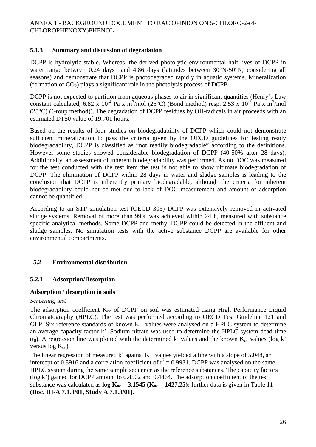### **5.1.3 Summary and discussion of degradation**

DCPP is hydrolytic stable. Whereas, the derived photolytic environmental half-lives of DCPP in water range between 0.24 days and 4.86 days (latitudes between  $30^{\circ}$ N-50°N, considering all seasons) and demonstrate that DCPP is photodegraded rapidly in aquatic systems. Mineralization (formation of  $CO<sub>2</sub>$ ) plays a significant role in the photolysis process of DCPP.

DCPP is not expected to partition from aqueous phases to air in significant quantities (Henry's Law constant calculated,  $6.82 \times 10^{-4}$  Pa x m<sup>3</sup>/mol ( $25^{\circ}$ C) (Bond method) resp.  $2.53 \times 10^{-3}$  Pa x m<sup>3</sup>/mol (25°C) (Group method)). The degradation of DCPP residues by OH-radicals in air proceeds with an estimated DT50 value of 19.701 hours.

Based on the results of four studies on biodegradability of DCPP which could not demonstrate sufficient mineralization to pass the criteria given by the OECD guidelines for testing ready biodegradability, DCPP is classified as "not readily biodegradable" according to the definitions. However some studies showed considerable biodegradation of DCPP (40-50% after 28 days). Additionally, an assessment of inherent biodegradability was performed. As no DOC was measured for the test conducted with the test item the test is not able to show ultimate biodegradation of DCPP. The elimination of DCPP within 28 days in water and sludge samples is leading to the conclusion that DCPP is inherently primary biodegradable, although the criteria for inherent biodegradability could not be met due to lack of DOC measurement and amount of adsorption cannot be quantified.

According to an STP simulation test (OECD 303) DCPP was extensively removed in activated sludge systems. Removal of more than 99% was achieved within 24 h, measured with substance specific analytical methods. Some DCPP and methyl-DCPP could be detected in the effluent and sludge samples. No simulation tests with the active substance DCPP are available for other environmental compartments.

# **5.2 Environmental distribution**

# **5.2.1 Adsorption/Desorption**

#### **Adsorption / desorption in soils**

#### *Screening test*

The adsorption coefficient  $K_{\infty}$  of DCPP on soil was estimated using High Performance Liquid Chromatography (HPLC). The test was performed according to OECD Test Guideline 121 and GLP. Six reference standards of known  $K_{\text{oc}}$  values were analysed on a HPLC system to determine an average capacity factor k'. Sodium nitrate was used to determine the HPLC system dead time (t<sub>0</sub>). A regression line was plotted with the determined k' values and the known  $K_{oc}$  values (log k' versus  $log K_{oc}$ ).

The linear regression of measured k' against  $K_{\text{oc}}$  values yielded a line with a slope of 5.048, an intercept of 0.8916 and a correlation coefficient of  $r^2 = 0.9931$ . DCPP was analysed on the same HPLC system during the same sample sequence as the reference substances. The capacity factors (log k') gained for DCPP amount to 0.4502 and 0.4464. The adsorption coefficient of the test substance was calculated as  $\log K_{oc} = 3.1545$  ( $K_{oc} = 1427.25$ ); further data is given in Table 11 **(Doc. III-A 7.1.3/01, Study A 7.1.3/01).**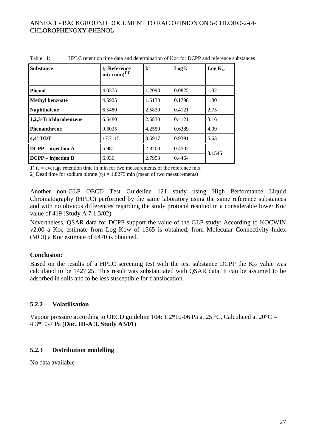| <b>Substance</b>          | $t_R$ Reference<br>$mix (min)^{1/2}$ | $k^{\prime}$ | Log k' | $Log K_{oc}$ |
|---------------------------|--------------------------------------|--------------|--------|--------------|
| <b>Phenol</b>             | 4.0375                               | 1.2093       | 0.0825 | 1.32         |
| <b>Methyl benzoate</b>    | 4.5925                               | 1.5130       | 0.1798 | 1.80         |
| <b>Naphthalene</b>        | 6.5480                               | 2.5830       | 0.4121 | 2.75         |
| 1,2,3-Trichlorobenzene    | 6.5480                               | 2.5830       | 0.4121 | 3.16         |
| <b>Phenanthrene</b>       | 9.6035                               | 4.2550       | 0.6289 | 4.09         |
| $4,4'$ -DDT               | 17.7115                              | 8.6917       | 0.9391 | 5.63         |
| $DCPP - injection A$      | 6.981                                | 2.8200       | 0.4502 | 3.1545       |
| <b>DCPP</b> – injection B | 6.936                                | 2.7953       | 0.4464 |              |

Table 11: HPLC retention time data and determination of Koc for DCPP and reference substances

1)  $t_R$  = average retention time in min for two measurements of the reference mix

2) Dead time for sodium nitrate  $(t_0) = 1.8275$  min (mean of two measurements)

Another non-GLP OECD Test Guideline 121 study using High Performance Liquid Chromatography (HPLC) performed by the same laboratory using the same reference substances and with no obvious differences regarding the study protocol resulted in a considerable lower Koc value of 419 (Study A 7.1.3/02).

Nevertheless, QSAR data for DCPP support the value of the GLP study: According to KOCWIN v2.00 a Koc estimate from Log Kow of 1565 is obtained, from Molecular Connectivity Index (MCI) a Koc estimate of 6470 is obtained.

#### **Conclusion:**

Based on the results of a HPLC screening test with the test substance DCPP the  $K_{\text{oc}}$  value was calculated to be 1427.25. This result was substantiated with QSAR data. It can be assumed to be adsorbed in soils and to be less susceptible for translocation.

# **5.2.2 Volatilisation**

Vapour pressure according to OECD guideline 104: 1.2\*10-06 Pa at 25 °C, Calculated at  $20^{\circ}$ C = 4.3\*10-7 Pa (**Doc. III-A 3, Study A3/01**)

# **5.2.3 Distribution modelling**

No data available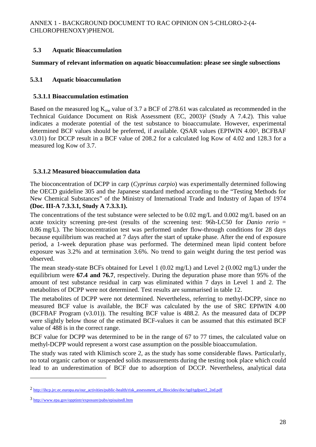# **5.3 Aquatic Bioaccumulation**

#### **Summary of relevant information on aquatic bioaccumulation: please see single subsections**

### **5.3.1 Aquatic bioaccumulation**

### **5.3.1.1 Bioaccumulation estimation**

Based on the measured log  $K_{ow}$  value of 3.7 a BCF of 278.61 was calculated as recommended in the Technical Guidance Document on Risk Assessment (EC, 2003)2 (Study A 7.4.2). This value indicates a moderate potential of the test substance to bioaccumulate. However, experimental determined BCF values should be preferred, if available. QSAR values (EPIWIN 4.003, BCFBAF v3.01) for DCCP result in a BCF value of 208.2 for a calculated log Kow of 4.02 and 128.3 for a measured log Kow of 3.7.

### **5.3.1.2 Measured bioaccumulation data**

The bioconcentration of DCPP in carp (*Cyprinus carpio*) was experimentally determined following the OECD guideline 305 and the Japanese standard method according to the "Testing Methods for New Chemical Substances" of the Ministry of International Trade and Industry of Japan of 1974 **(Doc. III-A 7.3.3.1, Study A 7.3.3.1).**

The concentrations of the test substance were selected to be 0.02 mg/L and 0.002 mg/L based on an acute toxicity screening pre-test (results of the screening test: 96h-LC50 for *Danio rerio* = 0.86 mg/L). The bioconcentration test was performed under flow-through conditions for 28 days because equilibrium was reached at 7 days after the start of uptake phase. After the end of exposure period, a 1-week depuration phase was performed. The determined mean lipid content before exposure was 3.2% and at termination 3.6%. No trend to gain weight during the test period was observed.

The mean steady-state BCFs obtained for Level 1 (0.02 mg/L) and Level 2 (0.002 mg/L) under the equilibrium were **67.4 and 76.7**, respectively. During the depuration phase more than 95% of the amount of test substance residual in carp was eliminated within 7 days in Level 1 and 2. The metabolites of DCPP were not determined. Test results are summarised in table 12.

The metabolites of DCPP were not determined. Nevertheless, referring to methyl-DCPP, since no measured BCF value is available, the BCF was calculated by the use of SRC EPIWIN 4.00 (BCFBAF Program (v3.01)). The resulting BCF value is 488.2. As the measured data of DCPP were slightly below those of the estimated BCF-values it can be assumed that this estimated BCF value of 488 is in the correct range.

BCF value for DCPP was determined to be in the range of 67 to 77 times, the calculated value on methyl-DCPP would represent a worst case assumption on the possible bioaccumulation.

The study was rated with Klimisch score 2, as the study has some considerable flaws. Particularly, no total organic carbon or suspended solids measurements during the testing took place which could lead to an underestimation of BCF due to adsorption of DCCP. Nevertheless, analytical data

 $\overline{a}$ 

<sup>&</sup>lt;sup>2</sup> http://ihcp.jrc.ec.europa.eu/our\_activities/public-health/risk\_assessment\_of\_Biocides/doc/tgd/tgdpart2\_2ed.pdf

<sup>3</sup> http://www.epa.gov/opptintr/exposure/pubs/episuitedl.htm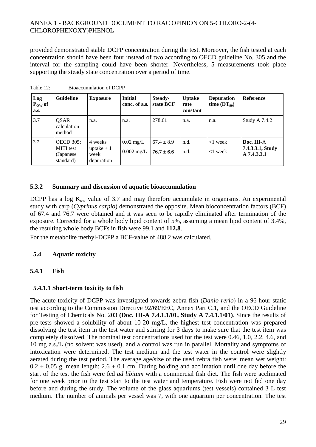provided demonstrated stable DCPP concentration during the test. Moreover, the fish tested at each concentration should have been four instead of two according to OECD guideline No. 305 and the interval for the sampling could have been shorter. Nevertheless, 5 measurements took place supporting the steady state concentration over a period of time.

| Log<br>$P_{OW}$ of<br>a.s. | <b>Guideline</b>                            | <b>Exposure</b>                   | <b>Initial</b><br>conc. of a.s. | Steady-<br>state BCF | <b>Uptake</b><br>rate<br>constant | <b>Depuration</b><br>time $(DT_{90})$ | Reference                       |
|----------------------------|---------------------------------------------|-----------------------------------|---------------------------------|----------------------|-----------------------------------|---------------------------------------|---------------------------------|
| 3.7                        | <b>OSAR</b><br>calculation<br>method        | n.a.                              | n.a.                            | 278.61               | n.a.                              | n.a.                                  | <b>Study A 7.4.2</b>            |
| 3.7                        | <b>OECD</b> 305;                            | 4 weeks                           | $0.02 \text{ mg/L}$             | $67.4 \pm 8.9$       | n.d.                              | $<$ 1 week                            | Doc. III-A                      |
|                            | <b>MITI</b> test<br>(Japanese)<br>standard) | uptake $+1$<br>week<br>depuration | $0.002 \text{ mg/L}$            | $76.7 \pm 6.6$       | n.d.                              | $<$ 1 week                            | 7.4.3.3.1, Study<br>A 7.4.3.3.1 |

Table 12: Bioaccumulation of DCPP

### **5.3.2 Summary and discussion of aquatic bioaccumulation**

DCPP has a log  $K_{ow}$  value of 3.7 and may therefore accumulate in organisms. An experimental study with carp (*Cyprinus carpio*) demonstrated the opposite. Mean bioconcentration factors (BCF) of 67.4 and 76.7 were obtained and it was seen to be rapidly eliminated after termination of the exposure. Corrected for a whole body lipid content of 5%, assuming a mean lipid content of 3.4%, the resulting whole body BCFs in fish were 99.1 and **112.8**.

For the metabolite methyl-DCPP a BCF-value of 488.2 was calculated.

#### **5.4 Aquatic toxicity**

#### **5.4.1 Fish**

# **5.4.1.1 Short-term toxicity to fish**

The acute toxicity of DCPP was investigated towards zebra fish (*Danio rerio*) in a 96-hour static test according to the Commission Directive 92/69/EEC, Annex Part C.1, and the OECD Guideline for Testing of Chemicals No. 203 **(Doc. III-A 7.4.1.1/01, Study A 7.4.1.1/01)**. Since the results of pre-tests showed a solubility of about 10-20 mg/L, the highest test concentration was prepared dissolving the test item in the test water and stirring for 3 days to make sure that the test item was completely dissolved. The nominal test concentrations used for the test were 0.46, 1.0, 2.2, 4.6, and 10 mg a.s./L (no solvent was used), and a control was run in parallel. Mortality and symptoms of intoxication were determined. The test medium and the test water in the control were slightly aerated during the test period. The average age/size of the used zebra fish were: mean wet weight:  $0.2 \pm 0.05$  g, mean length:  $2.6 \pm 0.1$  cm. During holding and acclimation until one day before the start of the test the fish were fed *ad libitum* with a commercial fish diet. The fish were acclimated for one week prior to the test start to the test water and temperature. Fish were not fed one day before and during the study. The volume of the glass aquariums (test vessels) contained 3 L test medium. The number of animals per vessel was 7, with one aquarium per concentration. The test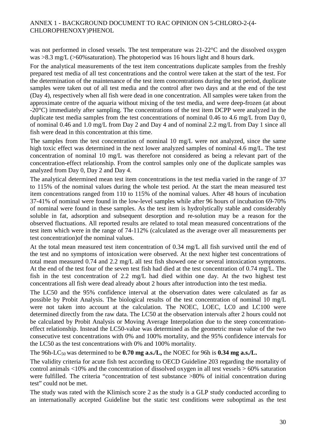was not performed in closed vessels. The test temperature was 21-22°C and the dissolved oxygen was >8.3 mg/L (>60%saturation). The photoperiod was 16 hours light and 8 hours dark.

For the analytical measurements of the test item concentrations duplicate samples from the freshly prepared test media of all test concentrations and the control were taken at the start of the test. For the determination of the maintenance of the test item concentrations during the test period, duplicate samples were taken out of all test media and the control after two days and at the end of the test (Day 4), respectively when all fish were dead in one concentration. All samples were taken from the approximate centre of the aquaria without mixing of the test media, and were deep-frozen (at about -20°C) immediately after sampling. The concentrations of the test item DCPP were analyzed in the duplicate test media samples from the test concentrations of nominal 0.46 to 4.6 mg/L from Day 0, of nominal 0.46 and 1.0 mg/L from Day 2 and Day 4 and of nominal 2.2 mg/L from Day 1 since all fish were dead in this concentration at this time.

The samples from the test concentration of nominal 10 mg/L were not analyzed, since the same high toxic effect was determined in the next lower analyzed samples of nominal 4.6 mg/L. The test concentration of nominal 10 mg/L was therefore not considered as being a relevant part of the concentration-effect relationship. From the control samples only one of the duplicate samples was analyzed from Day 0, Day 2 and Day 4.

The analytical determined mean test item concentrations in the test media varied in the range of 37 to 115% of the nominal values during the whole test period. At the start the mean measured test item concentrations ranged from 110 to 115% of the nominal values. After 48 hours of incubation 37-41% of nominal were found in the low-level samples while after 96 hours of incubation 69-70% of nominal were found in these samples. As the test item is hydrolytically stable and considerably soluble in fat, adsorption and subsequent desorption and re-solution may be a reason for the observed fluctuations. All reported results are related to total mean measured concentrations of the test item which were in the range of 74-112% (calculated as the average over all measurements per test concentration)of the nominal values.

At the total mean measured test item concentration of 0.34 mg/L all fish survived until the end of the test and no symptoms of intoxication were observed. At the next higher test concentrations of total mean measured 0.74 and 2.2 mg/L all test fish showed one or several intoxication symptoms. At the end of the test four of the seven test fish had died at the test concentration of 0.74 mg/L. The fish in the test concentration of 2.2 mg/L had died within one day. At the two highest test concentrations all fish were dead already about 2 hours after introduction into the test media.

The LC50 and the 95% confidence interval at the observation dates were calculated as far as possible by Probit Analysis. The biological results of the test concentration of nominal 10 mg/L were not taken into account at the calculation. The NOEC, LOEC, LC0 and LC100 were determined directly from the raw data. The LC50 at the observation intervals after 2 hours could not be calculated by Probit Analysis or Moving Average Interpolation due to the steep concentrationeffect relationship. Instead the LC50-value was determined as the geometric mean value of the two consecutive test concentrations with 0% and 100% mortality, and the 95% confidence intervals for the LC50 as the test concentrations with 0% and 100% mortality.

The 96h-LC<sub>50</sub> was determined to be  $0.70$  mg a.s./L, the NOEC for 96h is  $0.34$  mg a.s./L.

The validity criteria for acute fish test according to OECD Guideline 203 regarding the mortality of control animals <10% and the concentration of dissolved oxygen in all test vessels > 60% saturation were fulfilled. The criteria "concentration of test substance >80% of initial concentration during test" could not be met.

The study was rated with the Klimisch score 2 as the study is a GLP study conducted according to an internationally accepted Guideline but the static test conditions were suboptimal as the test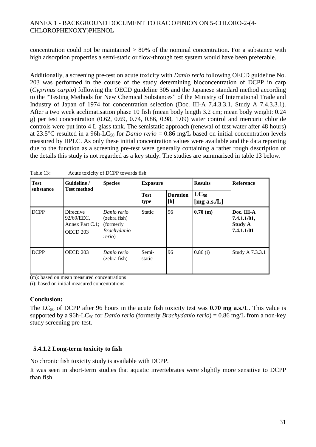concentration could not be maintained  $> 80\%$  of the nominal concentration. For a substance with high adsorption properties a semi-static or flow-through test system would have been preferable.

Additionally, a screening pre-test on acute toxicity with *Danio rerio* following OECD guideline No. 203 was performed in the course of the study determining bioconcentration of DCPP in carp (*Cyprinus carpio*) following the OECD guideline 305 and the Japanese standard method according to the "Testing Methods for New Chemical Substances" of the Ministry of International Trade and Industry of Japan of 1974 for concentration selection (Doc. III-A 7.4.3.3.1, Study A 7.4.3.3.1). After a two week acclimatisation phase 10 fish (mean body length 3.2 cm; mean body weight: 0.24 g) per test concentration (0.62, 0.69, 0.74, 0.86, 0.98, 1.09) water control and mercuric chloride controls were put into 4 L glass tank. The semistatic approach (renewal of test water after 48 hours) at 23.5°C resulted in a 96h-LC<sub>50</sub> for *Danio rerio* = 0.86 mg/L based on initial concentration levels measured by HPLC. As only these initial concentration values were available and the data reporting due to the function as a screening pre-test were generally containing a rather rough description of the details this study is not regarded as a key study. The studies are summarised in table 13 below.

| <b>Test</b><br>substance | Guideline /<br><b>Test method</b>                      | <b>Species</b><br><b>Exposure</b>                                          |                     |                        | <b>Results</b>               | <b>Reference</b>                                          |
|--------------------------|--------------------------------------------------------|----------------------------------------------------------------------------|---------------------|------------------------|------------------------------|-----------------------------------------------------------|
|                          |                                                        |                                                                            | <b>Test</b><br>type | <b>Duration</b><br>[h] | $LC_{50}$<br>[mg a.s./ $L$ ] |                                                           |
| <b>DCPP</b>              | Directive<br>92/69/EEC,<br>Annex Part C.1;<br>OECD 203 | Danio rerio<br>(zebra fish)<br>(formerly)<br>Brachydanio<br><i>rerio</i> ) | <b>Static</b>       | 96                     | 0.70(m)                      | Doc. III-A<br>7.4.1.1/01,<br><b>Study A</b><br>7.4.1.1/01 |
| <b>DCPP</b>              | OECD 203                                               | Danio rerio<br>(zebra fish)                                                | Semi-<br>static     | 96                     | 0.86(i)                      | Study A 7.3.3.1                                           |

| Table 13: | Acute toxicity of DCPP towards fish |
|-----------|-------------------------------------|
|-----------|-------------------------------------|

(m): based on mean measured concentrations

(i): based on initial measured concentrations

#### **Conclusion:**

The LC<sub>50</sub> of DCPP after 96 hours in the acute fish toxicity test was **0.70 mg a.s./L**. This value is supported by a 96h-LC<sub>50</sub> for *Danio rerio* (formerly *Brachydanio rerio*) = 0.86 mg/L from a non-key study screening pre-test.

#### **5.4.1.2 Long-term toxicity to fish**

No chronic fish toxicity study is available with DCPP.

It was seen in short-term studies that aquatic invertebrates were slightly more sensitive to DCPP than fish.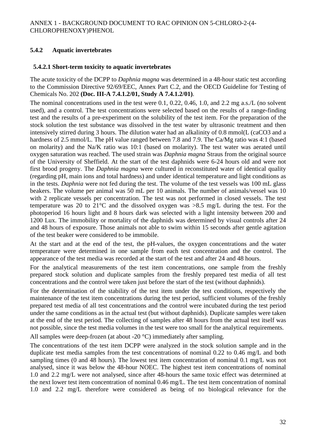# **5.4.2 Aquatic invertebrates**

#### **5.4.2.1 Short-term toxicity to aquatic invertebrates**

The acute toxicity of the DCPP to *Daphnia magna* was determined in a 48-hour static test according to the Commission Directive 92/69/EEC, Annex Part C.2, and the OECD Guideline for Testing of Chemicals No. 202 **(Doc. III-A 7.4.1.2/01, Study A 7.4.1.2/01)**.

The nominal concentrations used in the test were 0.1, 0.22, 0.46, 1.0, and 2.2 mg a.s./L (no solvent used), and a control. The test concentrations were selected based on the results of a range-finding test and the results of a pre-experiment on the solubility of the test item. For the preparation of the stock solution the test substance was dissolved in the test water by ultrasonic treatment and then intensively stirred during 3 hours. The dilution water had an alkalinity of 0.8 mmol(L (caCO3 and a hardness of 2.5 mmol/L. The pH value ranged between 7.8 and 7.9. The Ca/Mg ratio was 4:1 (based on molarity) and the Na/K ratio was 10:1 (based on molarity). The test water was aerated until oxygen saturation was reached. The used strain was *Daphnia magna* Straus from the original source of the University of Sheffield. At the start of the test daphnids were 6-24 hours old and were not first brood progeny. The *Daphnia magna* were cultured in reconstituted water of identical quality (regarding pH, main ions and total hardness) and under identical temperature and light conditions as in the tests. *Daphnia* were not fed during the test. The volume of the test vessels was 100 mL glass beakers. The volume per animal was 50 mL per 10 animals. The number of animals/vessel was 10 with 2 replicate vessels per concentration. The test was not performed in closed vessels. The test temperature was 20 to 21 $^{\circ}$ C and the dissolved oxygen was  $>8.5$  mg/L during the test. For the photoperiod 16 hours light and 8 hours dark was selected with a light intensity between 200 and 1200 Lux. The immobility or mortality of the daphnids was determined by visual controls after 24 and 48 hours of exposure. Those animals not able to swim within 15 seconds after gentle agitation of the test beaker were considered to be immobile.

At the start and at the end of the test, the pH-values, the oxygen concentrations and the water temperature were determined in one sample from each test concentration and the control. The appearance of the test media was recorded at the start of the test and after 24 and 48 hours.

For the analytical measurements of the test item concentrations, one sample from the freshly prepared stock solution and duplicate samples from the freshly prepared test media of all test concentrations and the control were taken just before the start of the test (without daphnids).

For the determination of the stability of the test item under the test conditions, respectively the maintenance of the test item concentrations during the test period, sufficient volumes of the freshly prepared test media of all test concentrations and the control were incubated during the test period under the same conditions as in the actual test (but without daphnids). Duplicate samples were taken at the end of the test period. The collecting of samples after 48 hours from the actual test itself was not possible, since the test media volumes in the test were too small for the analytical requirements.

All samples were deep-frozen (at about -20 °C) immediately after sampling.

The concentrations of the test item DCPP were analyzed in the stock solution sample and in the duplicate test media samples from the test concentrations of nominal 0.22 to 0.46 mg/L and both sampling times (0 and 48 hours). The lowest test item concentration of nominal 0.1 mg/L was not analysed, since it was below the 48-hour NOEC. The highest test item concentrations of nominal 1.0 and 2.2 mg/L were not analysed, since after 48-hours the same toxic effect was determined at the next lower test item concentration of nominal 0.46 mg/L. The test item concentration of nominal 1.0 and 2.2 mg/L therefore were considered as being of no biological relevance for the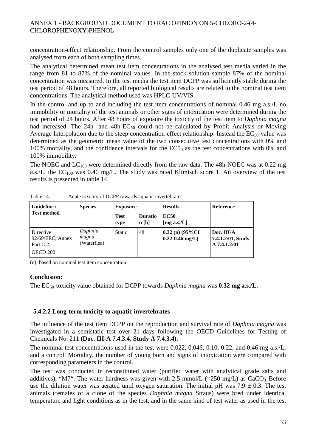concentration-effect relationship. From the control samples only one of the duplicate samples was analysed from each of both sampling times.

The analytical determined mean test item concentrations in the analysed test media varied in the range from 81 to 87% of the nominal values. In the stock solution sample 87% of the nominal concentration was measured. In the test media the test item DCPP was sufficiently stable during the test period of 48 hours. Therefore, all reported biological results are related to the nominal test item concentrations. The analytical method used was HPLC-UV/VIS.

In the control and up to and including the test item concentrations of nominal 0.46 mg a.s./L no immobility or mortality of the test animals or other signs of intoxication were determined during the test period of 24 hours. After 48 hours of exposure the toxicity of the test item to *Daphnia magna* had increased. The 24h- and 48h- $EC_{50}$  could not be calculated by Probit Analysis or Moving Average Interpolation due to the steep concentration-effect relationship. Instead the  $EC_{50}$ -value was determined as the geometric mean value of the two consecutive test concentrations with 0% and 100% mortality, and the confidence intervals for the  $EC5<sub>0</sub>$  as the test concentrations with 0% and 100% immobility.

The NOEC and  $LC_{100}$  were determined directly from the raw data. The 48h-NOEC was at 0.22 mg a.s./L, the  $EC_{100}$  was 0.46 mg/L. The study was rated Klimisch score 1. An overview of the test results is presented in table 14.

| Guideline /                                               | <b>Species</b>                  | <b>Exposure</b>     |                        | <b>Results</b>                           | <b>Reference</b>                                |
|-----------------------------------------------------------|---------------------------------|---------------------|------------------------|------------------------------------------|-------------------------------------------------|
| Test method                                               |                                 | <b>Test</b><br>type | <b>Duratio</b><br>n[h] | <b>EC50</b><br>[ $mg$ a.s./L]            |                                                 |
| Directive<br>$92/69/EEC$ , Annex<br>Part C.2;<br>OECD 202 | Daphnia<br>magna<br>(Waterflea) | <b>Static</b>       | 48                     | $0.32$ (n) (95%CI<br>$0.22 - 0.46$ mg/L) | Doc. III-A<br>7.4.1.2/01, Study<br>A 7.4.1.2/01 |

Table 14: Acute toxicity of DCPP towards aquatic invertebrates

(n): based on nominal test item concentration

#### **Conclusion:**

The EC50-toxicity value obtained for DCPP towards *Daphnia magna* was **0.32 mg a.s./L.** 

#### **5.4.2.2 Long-term toxicity to aquatic invertebrates**

The influence of the test item DCPP on the reproduction and survival rate of *Daphnia magna* was investigated in a semistatic test over 21 days following the OECD Guidelines for Testing of Chemicals No. 211 **(Doc. III-A 7.4.3.4, Study A 7.4.3.4).**

The nominal test concentrations used in the test were 0.022, 0.046, 0.10, 0.22, and 0.46 mg a.s./L, and a control. Mortality, the number of young born and signs of intoxication were compared with corresponding parameters in the control.

The test was conducted in reconstituted water (purified water with analytical grade salts and additives), "M7". The water hardness was given with 2.5 mmol/L ( $=250$  mg/L) as CaCO<sub>3</sub>. Before use the dilution water was aerated until oxygen saturation. The initial pH was  $7.9 \pm 0.3$ . The test animals (females of a clone of the species *Daphnia magna* Straus) were bred under identical temperature and light conditions as in the test, and in the same kind of test water as used in the test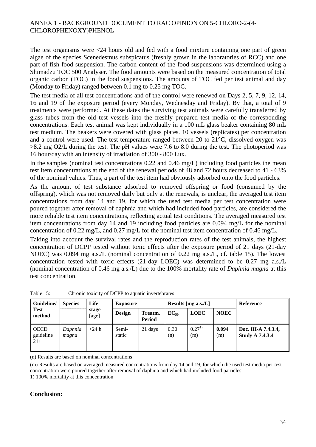The test organisms were <24 hours old and fed with a food mixture containing one part of green algae of the species Scenedesmus subspicatus (freshly grown in the laboratories of RCC) and one part of fish food suspension. The carbon content of the food suspensions was determined using a Shimadzu TOC 500 Analyser. The food amounts were based on the measured concentration of total organic carbon (TOC) in the food suspensions. The amounts of TOC fed per test animal and day (Monday to Friday) ranged between 0.1 mg to 0.25 mg TOC.

The test media of all test concentrations and of the control were renewed on Days 2, 5, 7, 9, 12, 14, 16 and 19 of the exposure period (every Monday, Wednesday and Friday). By that, a total of 9 treatments were performed. At these dates the surviving test animals were carefully transferred by glass tubes from the old test vessels into the freshly prepared test media of the corresponding concentrations. Each test animal was kept individually in a 100 mL glass beaker containing 80 mL test medium. The beakers were covered with glass plates. 10 vessels (replicates) per concentration and a control were used. The test temperature ranged between 20 to 21°C, dissolved oxygen was >8.2 mg O2/L during the test. The pH values were 7.6 to 8.0 during the test. The photoperiod was 16 hour/day with an intensity of irradiation of 300 - 800 Lux.

In the samples (nominal test concentrations 0.22 and 0.46 mg/L) including food particles the mean test item concentrations at the end of the renewal periods of 48 and 72 hours decreased to 41 - 63% of the nominal values. Thus, a part of the test item had obviously adsorbed onto the food particles.

As the amount of test substance adsorbed to removed offspring or food (consumed by the offspring), which was not removed daily but only at the renewals, is unclear, the averaged test item concentrations from day 14 and 19, for which the used test media per test concentration were poured together after removal of daphnia and which had included food particles, are considered the more reliable test item concentrations, reflecting actual test conditions. The averaged measured test item concentrations from day 14 and 19 including food particles are 0.094 mg/L for the nominal concentration of 0.22 mg/L, and 0.27 mg/L for the nominal test item concentration of 0.46 mg/L.

Taking into account the survival rates and the reproduction rates of the test animals, the highest concentration of DCPP tested without toxic effects after the exposure period of 21 days (21-day NOEC) was 0.094 mg a.s./L (nominal concentration of 0.22 mg a.s./L, cf. table 15). The lowest concentration tested with toxic effects (21-day LOEC) was determined to be 0.27 mg a.s./L (nominal concentration of 0.46 mg a.s./L) due to the 100% mortality rate of *Daphnia magna* at this test concentration.

| Guideline/                       | Life<br><b>Species</b> |                | <b>Exposure</b> |                          | Results [mg a.s./L] |                   | Reference    |                                               |
|----------------------------------|------------------------|----------------|-----------------|--------------------------|---------------------|-------------------|--------------|-----------------------------------------------|
| Test<br>method                   |                        | stage<br>[age] | <b>Design</b>   | Treatm.<br><b>Period</b> | $EC_{50}$           | <b>LOEC</b>       | <b>NOEC</b>  |                                               |
| <b>OECD</b><br>guideline<br>-211 | Daphnia<br>magna       | $<$ 24 h       | Semi-<br>static | 21 days                  | 0.30<br>(n)         | $0.27^{1}$<br>(m) | 0.094<br>(m) | Doc. III-A 7.4.3.4,<br><b>Study A 7.4.3.4</b> |

Table 15: Chronic toxicity of DCPP to aquatic invertebrates

(n) Results are based on nominal concentrations

(m) Results are based on averaged measured concentrations from day 14 and 19, for which the used test media per test concentration were poured together after removal of daphnia and which had included food particles

1) 100% mortality at this concentration

#### **Conclusion:**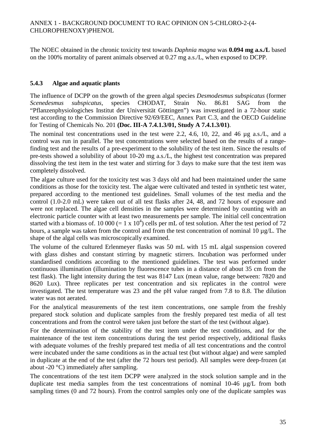The NOEC obtained in the chronic toxicity test towards *Daphnia magna* was **0.094 mg a.s./L** based on the 100% mortality of parent animals observed at 0.27 mg a.s./L, when exposed to DCPP.

### **5.4.3 Algae and aquatic plants**

The influence of DCPP on the growth of the green algal species *Desmodesmus subspicatus* (former *Scenedesmus subspicatus*, species CHODAT, Strain No. 86.81 SAG from "Pflanzenphysiologiches Institut der Universität Göttingen") was investigated in a 72-hour static test according to the Commission Directive 92/69/EEC, Annex Part C.3, and the OECD Guideline for Testing of Chemicals No. 201 **(Doc. III-A 7.4.1.3/01, Study A 7.4.1.3/01)**.

The nominal test concentrations used in the test were 2.2, 4.6, 10, 22, and 46 µg a.s./L, and a control was run in parallel. The test concentrations were selected based on the results of a rangefinding test and the results of a pre-experiment to the solubility of the test item. Since the results of pre-tests showed a solubility of about 10-20 mg a.s./L, the highest test concentration was prepared dissolving the test item in the test water and stirring for 3 days to make sure that the test item was completely dissolved.

The algae culture used for the toxicity test was 3 days old and had been maintained under the same conditions as those for the toxicity test. The algae were cultivated and tested in synthetic test water, prepared according to the mentioned test guidelines. Small volumes of the test media and the control (1.0-2.0 mL) were taken out of all test flasks after 24, 48, and 72 hours of exposure and were not replaced. The algae cell densities in the samples were determined by counting with an electronic particle counter with at least two measurements per sample. The initial cell concentration started with a biomass of. 10 000 (= 1 x 10<sup>4</sup>) cells per mL of test solution. After the test period of 72 hours, a sample was taken from the control and from the test concentration of nominal 10  $\mu$ g/L. The shape of the algal cells was microscopically examined.

The volume of the cultured Erlenmeyer flasks was 50 mL with 15 mL algal suspension covered with glass dishes and constant stirring by magnetic stirrers. Incubation was performed under standardised conditions according to the mentioned guidelines. The test was performed under continuous illumination (illumination by fluorescence tubes in a distance of about 35 cm from the test flask). The light intensity during the test was 8147 Lux (mean value, range between: 7820 and 8620 Lux). Three replicates per test concentration and six replicates in the control were investigated. The test temperature was 23 and the pH value ranged from 7.8 to 8.8. The dilution water was not aerated.

For the analytical measurements of the test item concentrations, one sample from the freshly prepared stock solution and duplicate samples from the freshly prepared test media of all test concentrations and from the control were taken just before the start of the test (without algae).

For the determination of the stability of the test item under the test conditions, and for the maintenance of the test item concentrations during the test period respectively, additional flasks with adequate volumes of the freshly prepared test media of all test concentrations and the control were incubated under the same conditions as in the actual test (but without algae) and were sampled in duplicate at the end of the test (after the 72 hours test period). All samples were deep-frozen (at about -20 °C) immediately after sampling.

The concentrations of the test item DCPP were analyzed in the stock solution sample and in the duplicate test media samples from the test concentrations of nominal 10-46 µg/L from both sampling times (0 and 72 hours). From the control samples only one of the duplicate samples was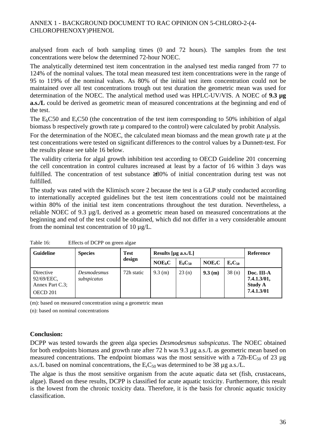analysed from each of both sampling times (0 and 72 hours). The samples from the test concentrations were below the determined 72-hour NOEC.

The analytically determined test item concentration in the analysed test media ranged from 77 to 124% of the nominal values. The total mean measured test item concentrations were in the range of 95 to 119% of the nominal values. As 80% of the initial test item concentration could not be maintained over all test concentrations trough out test duration the geometric mean was used for determination of the NOEC. The analytical method used was HPLC-UV/VIS. A NOEC of **9.3 µg a.s./L** could be derived as geometric mean of measured concentrations at the beginning and end of the test.

The  $E_bC50$  and  $E_cC50$  (the concentration of the test item corresponding to 50% inhibition of algal biomass b respectively growth rate  $\mu$  compared to the control) were calculated by probit Analysis.

For the determination of the NOEC, the calculated mean biomass and the mean growth rate  $\mu$  at the test concentrations were tested on significant differences to the control values by a Dunnett-test. For the results please see table 16 below.

The validity criteria for algal growth inhibition test according to OECD Guideline 201 concerning the cell concentration in control cultures increased at least by a factor of 16 within 3 days was fulfilled. The concentration of test substance ≥80% of initial concentration during test was not fulfilled.

The study was rated with the Klimisch score 2 because the test is a GLP study conducted according to internationally accepted guidelines but the test item concentrations could not be maintained within 80% of the initial test item concentrations throughout the test duration. Nevertheless, a reliable NOEC of 9.3 µg/L derived as a geometric mean based on measured concentrations at the beginning and end of the test could be obtained, which did not differ in a very considerable amount from the nominal test concentration of 10  $\mu$ g/L.

| <b>Guideline</b>                                       | <b>Species</b>             | <b>Test</b> | Results [ $\mu$ g a.s./L] |               |                    |             | Reference                                                 |
|--------------------------------------------------------|----------------------------|-------------|---------------------------|---------------|--------------------|-------------|-----------------------------------------------------------|
|                                                        |                            | design      | NOE <sub>b</sub> C        | $E_{b}C_{50}$ | NOE <sub>r</sub> C | $E_rC_{50}$ |                                                           |
| Directive<br>92/69/EEC,<br>Annex Part C.3;<br>OECD 201 | Desmodesmus<br>subspicatus | 72h static  | $9.3$ (m)                 | 23(n)         | 9.3(m)             | 38(n)       | Doc. III-A<br>7.4.1.3/01,<br><b>Study A</b><br>7.4.1.3/01 |

Table 16: Effects of DCPP on green algae

(m): based on measured concentration using a geometric mean

(n): based on nominal concentrations

#### **Conclusion:**

DCPP was tested towards the green alga species *Desmodesmus subspicatus*. The NOEC obtained for both endpoints biomass and growth rate after 72 h was 9.3 µg a.s./L as geometric mean based on measured concentrations. The endpoint biomass was the most sensitive with a 72h-EC<sub>50</sub> of 23  $\mu$ g a.s./L based on nominal concentrations, the  $E<sub>r</sub>C<sub>50</sub>$  was determined to be 38 µg a.s./L.

The algae is thus the most sensitive organism from the acute aquatic data set (fish, crustaceans, algae). Based on these results, DCPP is classified for acute aquatic toxicity. Furthermore, this result is the lowest from the chronic toxicity data. Therefore, it is the basis for chronic aquatic toxicity classification.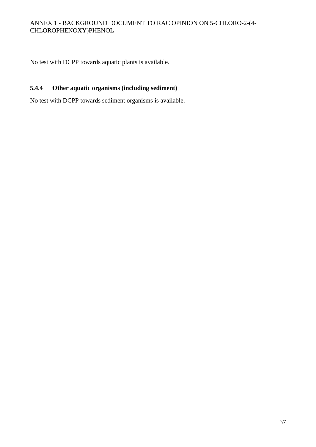No test with DCPP towards aquatic plants is available.

# **5.4.4 Other aquatic organisms (including sediment)**

No test with DCPP towards sediment organisms is available.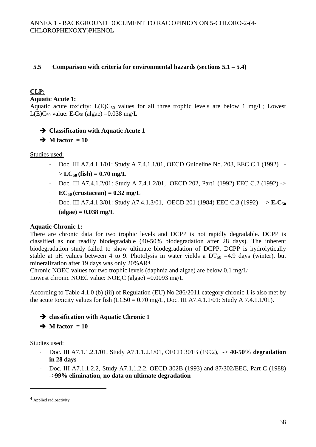# **5.5 Comparison with criteria for environmental hazards (sections 5.1 – 5.4)**

# **CLP:**

**Aquatic Acute 1:** 

Aquatic acute toxicity:  $L(E)C_{50}$  values for all three trophic levels are below 1 mg/L; Lowest L(E)C<sub>50</sub> value: E<sub>r</sub>C<sub>50</sub> (algae) = 0.038 mg/L

**Classification with Aquatic Acute 1** 

 $\rightarrow$  M factor = 10

### Studies used:

- Doc. III A7.4.1.1/01: Study A 7.4.1.1/01, OECD Guideline No. 203, EEC C.1 (1992)  $> LC_{50}$  (fish) = 0.70 mg/L
- Doc. III A7.4.1.2/01: Study A 7.4.1.2/01, OECD 202, Part1 (1992) EEC C.2 (1992) ->  $EC_{50}$  (crustacean) =  $0.32$  mg/L
- Doc. III A7.4.1.3/01: Study A7.4.1.3/01, OECD 201 (1984) EEC C.3 (1992) -> **ErC<sup>50</sup> (algae) = 0.038 mg/L**

# **Aquatic Chronic 1:**

There are chronic data for two trophic levels and DCPP is not rapidly degradable. DCPP is classified as not readily biodegradable (40-50% biodegradation after 28 days). The inherent biodegradation study failed to show ultimate biodegradation of DCPP. DCPP is hydrolytically stable at pH values between 4 to 9. Photolysis in water yields a  $DT_{50} = 4.9$  days (winter), but mineralization after 19 days was only 20%AR4.

Chronic NOEC values for two trophic levels (daphnia and algae) are below 0.1 mg/L; Lowest chronic NOEC value:  $NOE<sub>r</sub>C$  (algae) = 0.0093 mg/L

According to Table 4.1.0 (b) (iii) of Regulation (EU) No 286/2011 category chronic 1 is also met by the acute toxicity values for fish  $(LC50 = 0.70$  mg/L, Doc. III A7.4.1.1/01: Study A 7.4.1.1/01).

**classification with Aquatic Chronic 1** 

 $\rightarrow$  M factor = 10

Studies used:

- Doc. III A7.1.1.2.1/01, Study A7.1.1.2.1/01, OECD 301B (1992), -> **40-50% degradation in 28 days**
- Doc. III A7.1.1.2.2, Study A7.1.1.2.2, OECD 302B (1993) and 87/302/EEC, Part C (1988) ->**99% elimination, no data on ultimate degradation**

 $\overline{a}$ 

<sup>4</sup> Applied radioactivity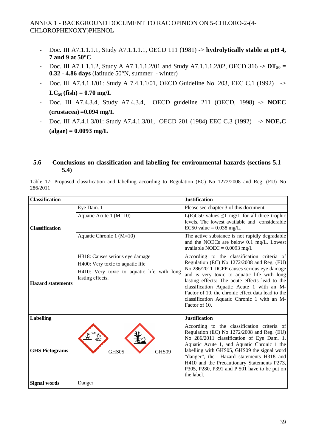- Doc. III A7.1.1.1.1, Study A7.1.1.1.1, OECD 111 (1981) -> **hydrolytically stable at pH 4, 7 and 9 at 50°C**
- Doc. III A7.1.1.1.2, Study A A7.1.1.1.2/01 and Study A7.1.1.1.2/02, OECD 316 -**> DT50 = 0.32 - 4.86 days** (latitude 50°N, summer - winter)
- Doc. III A7.4.1.1/01: Study A 7.4.1.1/01, OECD Guideline No. 203, EEC C.1 (1992) ->  $LC_{50}$  (fish) = 0.70 mg/L
- Doc. III A7.4.3.4, Study A7.4.3.4, OECD guideline 211 (OECD, 1998) -> **NOEC (crustacea) =0.094 mg/L**
- Doc. III A7.4.1.3/01: Study A7.4.1.3/01, OECD 201 (1984) EEC C.3 (1992) -> **NOErC (algae) = 0.0093 mg/L**

#### **5.6 Conclusions on classification and labelling for environmental hazards (sections 5.1 – 5.4)**

Table 17: Proposed classification and labelling according to Regulation (EC) No 1272/2008 and Reg. (EU) No 286/2011

| <b>Classification</b>    |                                                                                | <b>Justification</b>                                                                                                          |
|--------------------------|--------------------------------------------------------------------------------|-------------------------------------------------------------------------------------------------------------------------------|
|                          | Eye Dam. 1                                                                     | Please see chapter 3 of this document.                                                                                        |
|                          | Aquatic Acute 1 $(M=10)$                                                       | L(E)C50 values $\leq 1$ mg/L for all three trophic<br>levels. The lowest available and considerable                           |
| <b>Classification</b>    |                                                                                | EC50 value = $0.038$ mg/L.                                                                                                    |
|                          | Aquatic Chronic 1 (M=10)                                                       | The active substance is not rapidly degradable<br>and the NOECs are below 0.1 mg/L. Lowest<br>available NOEC = $0.0093$ mg/l. |
|                          | H318: Causes serious eye damage                                                | According to the classification criteria of<br>Regulation (EC) No 1272/2008 and Reg. (EU)                                     |
|                          | H400: Very toxic to aquatic life<br>H410: Very toxic to aquatic life with long | No 286/2011 DCPP causes serious eye damage                                                                                    |
|                          | lasting effects.                                                               | and is very toxic to aquatic life with long<br>lasting effects: The acute effects lead to the                                 |
| <b>Hazard statements</b> |                                                                                | classification Aquatic Acute 1 with an $M$ -                                                                                  |
|                          |                                                                                | Factor of 10, the chronic effect data lead to the<br>classification Aquatic Chronic 1 with an $M$ -                           |
|                          |                                                                                | Factor of 10.                                                                                                                 |
|                          |                                                                                |                                                                                                                               |
| Labelling                |                                                                                | <b>Justification</b>                                                                                                          |
|                          |                                                                                | According to the classification criteria of<br>Regulation (EC) No $1272/2008$ and Reg. (EU)                                   |
|                          |                                                                                | No 286/2011 classification of Eye Dam. 1,                                                                                     |
|                          |                                                                                | Aquatic Acute 1, and Aquatic Chronic 1 the                                                                                    |
| <b>GHS Pictograms</b>    | GHS05<br>GHS09                                                                 | labelling with GHS05, GHS09 the signal word<br>"danger", the Hazard statements H318 and                                       |
|                          |                                                                                | H410 and the Precautionary Statements P273,                                                                                   |
|                          |                                                                                | P305, P280, P391 and P 501 have to be put on<br>the label.                                                                    |
| <b>Signal words</b>      | Danger                                                                         |                                                                                                                               |
|                          |                                                                                |                                                                                                                               |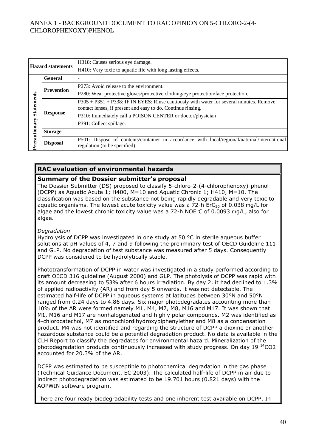| <b>Hazard statements</b> |                 | H318: Causes serious eye damage.                                                                                                                        |
|--------------------------|-----------------|---------------------------------------------------------------------------------------------------------------------------------------------------------|
|                          |                 | H410: Very toxic to aquatic life with long lasting effects.                                                                                             |
|                          | <b>General</b>  |                                                                                                                                                         |
|                          |                 | P273: Avoid release to the environment.                                                                                                                 |
| <b>Prevention</b>        |                 | P280: Wear protective gloves/protective clothing/eye protection/face protection.                                                                        |
| <b>Statements</b>        | <b>Response</b> | P305 + P351 + P338: IF IN EYES: Rinse cautiously with water for several minutes. Remove<br>contact lenses, if present and easy to do. Continue rinsing. |
|                          |                 | P310: Immediately call a POISON CENTER or doctor/physician                                                                                              |
|                          |                 | P391: Collect spillage.                                                                                                                                 |
|                          | <b>Storage</b>  |                                                                                                                                                         |
| Precautionary            | <b>Disposal</b> | P501: Dispose of contents/container in accordance with local/regional/national/international<br>regulation (to be specified).                           |

#### **RAC evaluation of environmental hazards**

#### **Summary of the Dossier submitter's proposal**

The Dossier Submitter (DS) proposed to classify 5-chloro-2-(4-chlorophenoxy)-phenol (DCPP) as Aquatic Acute 1; H400, M=10 and Aquatic Chronic 1; H410, M=10. The classification was based on the substance not being rapidly degradable and very toxic to aquatic organisms. The lowest acute toxicity value was a  $72-h$  ErC<sub>50</sub> of 0.038 mg/L for algae and the lowest chronic toxicity value was a 72-h NOErC of 0.0093 mg/L, also for algae.

#### *Degradation*

Hydrolysis of DCPP was investigated in one study at 50 °C in sterile aqueous buffer solutions at pH values of 4, 7 and 9 following the preliminary test of OECD Guideline 111 and GLP. No degradation of test substance was measured after 5 days. Consequently DCPP was considered to be hydrolytically stable.

Phototransformation of DCPP in water was investigated in a study performed according to draft OECD 316 guideline (August 2000) and GLP. The photolysis of DCPP was rapid with its amount decreasing to 53% after 6 hours irradiation. By day 2, it had declined to 1.3% of applied radioactivity (AR) and from day 5 onwards, it was not detectable. The estimated half-life of DCPP in aqueous systems at latitudes between 30°N and 50°N ranged from 0.24 days to 4.86 days. Six major photodegradates accounting more than 10% of the AR were formed namely M1, M4, M7, M8, M16 and M17. It was shown that M1, M16 and M17 are nonhalogenated and highly polar compounds. M2 was identified as 4-chlorocatechol, M7 as monochlordihydroxybiphenylether and M8 as a condensation product. M4 was not identified and regarding the structure of DCPP a dioxine or another hazardous substance could be a potential degradation product. No data is available in the CLH Report to classify the degradates for environmental hazard. Mineralization of the photodegradation products continuously increased with study progress. On day 19  $^{14}$ CO2 accounted for 20.3% of the AR.

DCPP was estimated to be susceptible to photochemical degradation in the gas phase (Technical Guidance Document, EC 2003). The calculated half-life of DCPP in air due to indirect photodegradation was estimated to be 19.701 hours (0.821 days) with the AOPWIN software program.

There are four ready biodegradability tests and one inherent test available on DCPP. In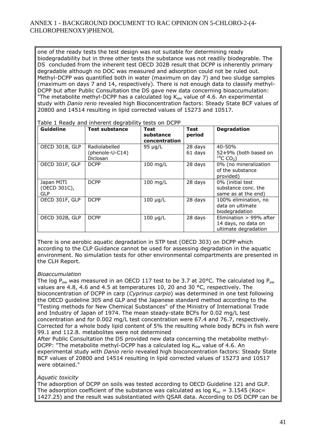one of the ready tests the test design was not suitable for determining ready biodegradability but in three other tests the substance was not readily biodegrable. The DS concluded from the inherent test OECD 302B result that DCPP is inherently primary degradable although no DOC was measured and adsorption could not be ruled out. Methyl-DCPP was quantified both in water (maximum on day 7) and two sludge samples (maximum on days 7 and 14, respectively). There is not enough data to classify methyl-DCPP but after Public Consultation the DS gave new data concerning bioaccumulation: "The metabolite methyl-DCPP has a calculated log  $K_{ow}$  value of 4.6. An experimental study with *Danio rerio* revealed high Bioconcentration factors: Steady State BCF values of 20800 and 14514 resulting in lipid corrected values of 15273 and 10517.

| Guideline                                | <b>Test substance</b>                               | <b>Test</b><br>substance<br>concentration | Test<br>period     | <b>Degradation</b>                                                     |
|------------------------------------------|-----------------------------------------------------|-------------------------------------------|--------------------|------------------------------------------------------------------------|
| OECD 301B, GLP                           | Radiolabelled<br>(phenole-U-C14)<br><b>Diclosan</b> | 95 µg/L                                   | 28 days<br>61 days | $40 - 50%$<br>$52\pm9\%$ (both based on<br>$^{14}$ C CO <sub>2</sub> ) |
| OECD 301F, GLP                           | <b>DCPP</b>                                         | $100$ mg/L                                | 28 days            | 0% (no mineralization<br>of the substance<br>provided)                 |
| Japan MITI<br>(OECD 301C),<br><b>GLP</b> | <b>DCPP</b>                                         | $100$ mg/L                                | 28 days            | 0% (initial test<br>substance conc. the<br>same as at the end)         |
| OECD 301F, GLP                           | <b>DCPP</b>                                         | $100 \mu g/L$                             | 28 days            | 100% elimination, no<br>data on ultimate<br>biodegradation             |
| OECD 302B, GLP                           | <b>DCPP</b>                                         | $100 \mu g/L$                             | 28 days            | Elimination > 99% after<br>14 days, no data on<br>ultimate degradation |

Table 1 Ready and inherent degrability tests on DCPP

There is one aerobic aquatic degradation in STP test (OECD 303) on DCPP which according to the CLP Guidance cannot be used for assessing degradation in the aquatic environment. No simulation tests for other environmental compartments are presented in the CLH Report.

#### *Bioaccumulation*

The log P<sub>ow</sub> was measured in an OECD 117 test to be 3.7 at 20°C. The calculated log P<sub>ow</sub> values are 4.8, 4.6 and 4.5 at temperatures 10, 20 and 30 °C, respectively. The bioconcentration of DCPP in carp (*Cyprinus carpio*) was determined in one test following the OECD guideline 305 and GLP and the Japanese standard method according to the "Testing methods for New Chemical Substances" of the Ministry of International Trade and Industry of Japan of 1974. The mean steady-state BCFs for 0.02 mg/L test concentration and for 0.002 mg/L test concentration were 67.4 and 76.7, respectively. Corrected for a whole body lipid content of 5% the resulting whole body BCFs in fish were 99.1 and 112.8. metabolites were not determined

After Public Consultation the DS provided new data concerning the metabolite methyl-DCPP: "The metabolite methyl-DCPP has a calculated log  $K_{ow}$  value of 4.6. An experimental study with *Danio rerio* revealed high bioconcentration factors: Steady State BCF values of 20800 and 14514 resulting in lipid corrected values of 15273 and 10517 were obtained."

#### *Aquatic toxicity*

The adsorption of DCPP on soils was tested according to OECD Guideline 121 and GLP. The adsorption coefficient of the substance was calculated as log  $K_{\text{oc}} = 3.1545$  (Koc= 1427.25) and the result was substantiated with QSAR data. According to DS DCPP can be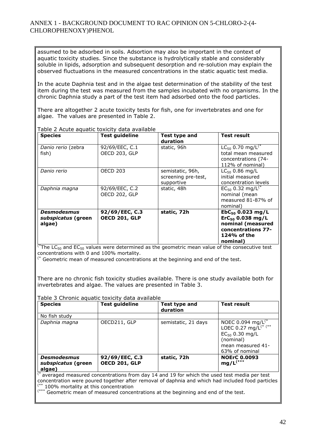assumed to be adsorbed in soils. Adsortion may also be important in the context of aquatic toxicity studies. Since the substance is hydrolytically stable and considerably soluble in lipids, adsorption and subsequent desorption and re-solution may explain the observed fluctuations in the measured concentrations in the static aquatic test media.

In the acute Daphnia test and in the algae test determination of the stability of the test item during the test was measured from the samples incubated with no organisms. In the chronic Daphnia study a part of the test item had adsorbed onto the food particles.

There are altogether 2 acute toxicity tests for fish, one for invertebrates and one for algae. The values are presented in Table 2.

| <b>Species</b>                                     | <b>Test guideline</b>                  | Test type and<br>duration                             | Test result                                                                                                          |
|----------------------------------------------------|----------------------------------------|-------------------------------------------------------|----------------------------------------------------------------------------------------------------------------------|
| Danio rerio (zebra<br>fish)                        | 92/69/EEC, C.1<br><b>OECD 203, GLP</b> | static, 96h                                           | $LC_{50}$ 0.70 mg/L <sup>(*</sup><br>total mean measured<br>concentrations (74-<br>112% of nominal)                  |
| Danio rerio                                        | <b>OECD 203</b>                        | semistatic, 96h,<br>screening pre-test,<br>supportive | $LC_{50}$ 0.86 mg/L<br>initial measured<br>concentration levels                                                      |
| Daphnia magna                                      | 92/69/EEC, C.2<br>OECD 202, GLP        | static, 48h                                           | $EC_{50}$ 0.32 mg/L <sup>(*</sup><br>nominal (mean<br>measured 81-87% of<br>nominal)                                 |
| <b>Desmodesmus</b><br>subspicatus (green<br>algae) | 92/69/EEC, C.3<br><b>OECD 201, GLP</b> | static, 72h                                           | $EbC_{50}$ 0.023 mg/L<br>$ErC_{50}$ 0.038 mg/L<br>nominal (measured<br>concentrations 77-<br>124% of the<br>nominal) |

Table 2 Acute aquatic toxicity data available

 $\overline{f^*}$ The LC<sub>50</sub> and EC<sub>50</sub> values were determined as the geometric mean value of the consecutive test concentrations with 0 and 100% mortality.

 $($ \* Geometric mean of measured concentrations at the beginning and end of the test.

There are no chronic fish toxicity studies available. There is one study available both for invertebrates and algae. The values are presented in Table 3.

#### Table 3 Chronic aquatic toxicity data available

| <b>Species</b>                                     | <b>Test guideline</b>                  | Test type and<br>duration | <b>Test result</b>                                                                                                                      |
|----------------------------------------------------|----------------------------------------|---------------------------|-----------------------------------------------------------------------------------------------------------------------------------------|
| No fish study                                      |                                        |                           |                                                                                                                                         |
| Daphnia magna                                      | OECD211, GLP                           | semistatic, 21 days       | NOEC 0.094 mg/ $L^{(*)}$<br>LOEC 0.27 mg/L <sup>(* (**</sup><br>$EC_{50}$ 0.30 mg/L<br>(nominal)<br>mean measured 41-<br>63% of nominal |
| <b>Desmodesmus</b><br>subspicatus (green<br>algae) | 92/69/EEC, C.3<br><b>OECD 201, GLP</b> | static, 72h               | <b>NOErC 0.0093</b><br>$mg/L^{(**)}$                                                                                                    |

averaged measured concentrations from day 14 and 19 for which the used test media per test concentration were poured together after removal of daphnia and which had included food particles \*\* 100% mortality at this concentration

(\*\*\* Geometric mean of measured concentrations at the beginning and end of the test.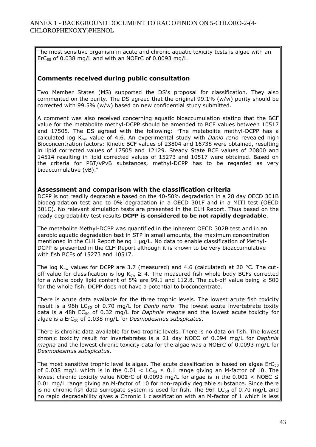The most sensitive organism in acute and chronic aquatic toxicity tests is algae with an ErC $50$  of 0.038 mg/L and with an NOErC of 0.0093 mg/L.

#### **Comments received during public consultation**

Two Member States (MS) supported the DS's proposal for classification. They also commented on the purity. The DS agreed that the original 99.1% (w/w) purity should be corrected with 99.5% (w/w) based on new confidential study submitted.

A comment was also received concerning aquatic bioaccumulation stating that the BCF value for the metabolite methyl-DCPP should be amended to BCF values between 10517 and 17505. The DS agreed with the following: "The metabolite methyl-DCPP has a calculated log Kow value of 4.6. An experimental study with *Danio rerio* revealed high Bioconcentration factors: Kinetic BCF values of 23804 and 16738 were obtained, resulting in lipid corrected values of 17505 and 12129. Steady State BCF values of 20800 and 14514 resulting in lipid corrected values of 15273 and 10517 were obtained. Based on the criteria for PBT/vPvB substances, methyl-DCPP has to be regarded as very bioaccumulative (vB)."

#### **Assessment and comparison with the classification criteria**

DCPP is not readily degradable based on the 40-50% degradation in a 28 day OECD 301B biodegradation test and to 0% degradation in a OECD 301F and in a MITI test (OECD 301C). No relevant simulation tests are presented in the CLH Report. Thus based on the ready degradability test results **DCPP is considered to be not rapidly degradable**.

The metabolite Methyl-DCPP was quantified in the inherent OECD 302B test and in an aerobic aquatic degradation test in STP in small amounts, the maximum concentration mentioned in the CLH Report being 1 µg/L. No data to enable classification of Methyl-DCPP is presented in the CLH Report although it is known to be very bioaccumulative with fish BCFs of 15273 and 10517.

The log K<sub>ow</sub> values for DCPP are 3.7 (measured) and 4.6 (calculated) at 20 °C. The cutoff value for classification is log  $K_{ow} \geq 4$ . The measured fish whole body BCFs corrected for a whole body lipid content of 5% are 99.1 and 112.8. The cut-off value being  $\geq 500$ for the whole fish, DCPP does not have a potential to bioconcentrate.

There is acute data available for the three trophic levels. The lowest acute fish toxicity result is a 96h LC<sub>50</sub> of 0.70 mg/L for *Danio rerio*. The lowest acute invertebrate toxity data is a 48h EC50 of 0.32 mg/L for *Daphnia magna* and the lowest acute toxicity for algae is a ErC<sub>50</sub> of 0.038 mg/L for *Desmodesmus subspicatus*.

There is chronic data available for two trophic levels. There is no data on fish. The lowest chronic toxicity result for invertebrates is a 21 day NOEC of 0.094 mg/L for *Daphnia magna* and the lowest chronic toxicity data for the algae was a NOErC of 0.0093 mg/L for *Desmodesmus subspicatus*.

The most sensitive trophic level is algae. The acute classification is based on algae  $ErC<sub>50</sub>$ of 0.038 mg/L which is in the 0.01  $\lt$  LC<sub>50</sub>  $\leq$  0.1 range giving an M-factor of 10. The lowest chronic toxicity value NOErC of 0.0093 mg/L for algae is in the 0.001  $\lt$  NOEC  $\le$ 0.01 mg/L range giving an M-factor of 10 for non-rapidly degrable substance. Since there is no chronic fish data surrogate system is used for fish. The 96h  $LC_{50}$  of 0.70 mg/L and no rapid degradability gives a Chronic 1 classification with an M-factor of 1 which is less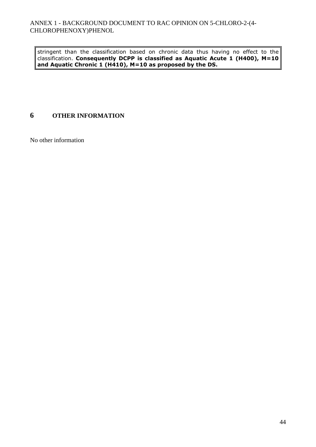stringent than the classification based on chronic data thus having no effect to the classification. **Consequently DCPP is classified as Aquatic Acute 1 (H400), M=10 and Aquatic Chronic 1 (H410), M=10 as proposed by the DS.** 

# **6 OTHER INFORMATION**

No other information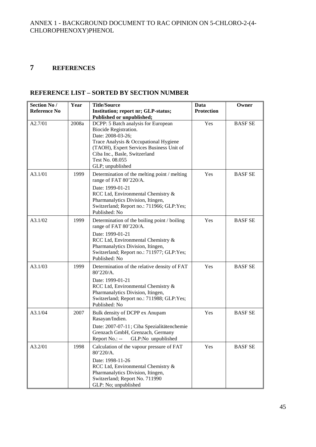# **7 REFERENCES**

# **REFERENCE LIST – SORTED BY SECTION NUMBER**

| <b>Section No /</b> | Year  | <b>Title/Source</b>                                                                                                                                                                                                                            | Data              | Owner          |
|---------------------|-------|------------------------------------------------------------------------------------------------------------------------------------------------------------------------------------------------------------------------------------------------|-------------------|----------------|
| <b>Reference No</b> |       | Institution; report nr; GLP-status;                                                                                                                                                                                                            | <b>Protection</b> |                |
|                     |       | Published or unpublished;                                                                                                                                                                                                                      |                   |                |
| A2.7/01             | 2008a | DCPP: 5 Batch analysis for European<br>Biocide Registration.<br>Date: 2008-03-26;<br>Trace Analysis & Occupational Hygiene<br>(TAOH), Expert Services Business Unit of<br>Ciba Inc., Basle, Switzerland<br>Test No. 08.055<br>GLP; unpublished | Yes               | <b>BASF SE</b> |
| A3.1/01             | 1999  | Determination of the melting point / melting<br>range of FAT 80'220/A.<br>Date: 1999-01-21<br>RCC Ltd, Environmental Chemistry &<br>Pharmanalytics Division, Itingen,<br>Switzerland; Report no.: 711966; GLP:Yes;<br>Published: No            | Yes               | <b>BASF SE</b> |
| A3.1/02             | 1999  | Determination of the boiling point / boiling<br>range of FAT 80'220/A.<br>Date: 1999-01-21<br>RCC Ltd, Environmental Chemistry &<br>Pharmanalytics Division, Itingen,<br>Switzerland; Report no.: 711977; GLP:Yes;<br>Published: No            | Yes               | <b>BASF SE</b> |
| A3.1/03             | 1999  | Determination of the relative density of FAT<br>80'220/A.<br>Date: 1999-01-21<br>RCC Ltd, Environmental Chemistry &<br>Pharmanalytics Division, Itingen,<br>Switzerland; Report no.: 711988; GLP:Yes;<br>Published: No                         | Yes               | <b>BASF SE</b> |
| A3.1/04             | 2007  | Bulk density of DCPP ex Anupam<br>Rasayan/Indien.<br>Date: 2007-07-11; Ciba Spezialitätenchemie<br>Grenzach GmbH, Grenzach, Germany<br>Report No.: -- GLP:No unpublished                                                                       | Yes               | <b>BASF SE</b> |
| A3.2/01             | 1998  | Calculation of the vapour pressure of FAT<br>80'220/A.<br>Date: 1998-11-26<br>RCC Ltd, Environmental Chemistry &<br>Pharmanalytics Division, Itingen,<br>Switzerland; Report No. 711990<br>GLP: No; unpublished                                | Yes               | <b>BASF SE</b> |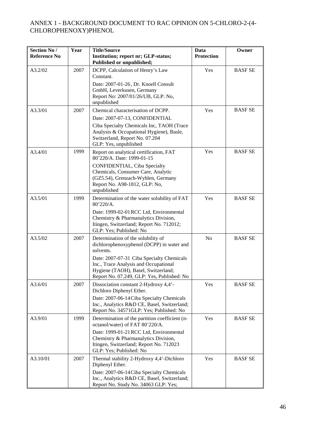| <b>Section No /</b><br><b>Reference No</b> | Year | <b>Title/Source</b><br>Institution; report nr; GLP-status;<br>Published or unpublished;                                                                                                                                                                                 | Data<br>Protection | Owner          |
|--------------------------------------------|------|-------------------------------------------------------------------------------------------------------------------------------------------------------------------------------------------------------------------------------------------------------------------------|--------------------|----------------|
| A3.2/02                                    | 2007 | DCPP, Calculation of Henry's Law<br>Constant.<br>Date: 2007-01-26, Dr. Knoell Consult<br>GmbH, Leverkusen, Germany<br>Report No: 2007/01/26/UB, GLP: No,<br>unpublished                                                                                                 | Yes                | <b>BASF SE</b> |
| A3.3/01                                    | 2007 | Chemical characterisation of DCPP.<br>Date: 2007-07-13, CONFIDENTIAL<br>Ciba Specialty Chemicals Inc, TAOH (Trace<br>Analysis & Occupational Hygiene), Basle,<br>Switzerland, Report No. 07.204<br>GLP: Yes, unpublished                                                | Yes                | <b>BASF SE</b> |
| A3.4/01                                    | 1999 | Report on analytical certification, FAT<br>80'220/A. Date: 1999-01-15<br>CONFIDENTIAL, Ciba Specialty<br>Chemicals, Consumer Care, Analytic<br>(GZ5.54), Grenzach-Wyhlen, Germany<br>Report No. A98-1812, GLP: No,<br>unpublished                                       | Yes                | <b>BASF SE</b> |
| A3.5/01                                    | 1999 | Determination of the water solubility of FAT<br>80'220/A.<br>Date: 1999-02-01 RCC Ltd, Environmental<br>Chemistry & Pharmanalytics Division,<br>Itingen, Switzerland; Report No. 712012;<br>GLP: Yes; Published: No                                                     | Yes                | <b>BASF SE</b> |
| A3.5/02                                    | 2007 | Determination of the solubility of<br>dichlorophenoxyphenol (DCPP) in water and<br>solvents.<br>Date: 2007-07-31 Ciba Specialty Chemicals<br>Inc., Trace Analysis and Occupational<br>Hygiene (TAOH), Basel, Switzerland;<br>Report No. 07.249, GLP: Yes, Published: No | No                 | <b>BASF SE</b> |
| A3.6/01                                    | 2007 | Dissociation constant 2-Hydroxy 4,4'-<br>Dichloro Diphenyl Ether.<br>Date: 2007-06-14 Ciba Specialty Chemicals<br>Inc., Analytics R&D CE, Basel, Switzerland;<br>Report No. 34571GLP: Yes; Published: No                                                                | Yes                | <b>BASF SE</b> |
| A3.9/01                                    | 1999 | Determination of the partition coefficient (n-<br>octanol/water) of FAT 80'220/A.<br>Date: 1999-01-21 RCC Ltd, Environmental<br>Chemistry & Pharmanalytics Division,<br>Itingen, Switzerland; Report No. 712023<br>GLP: Yes; Published: No                              | Yes                | <b>BASF SE</b> |
| A3.10/01                                   | 2007 | Thermal stability 2-Hydroxy 4,4'-Dichloro<br>Diphenyl Ether.<br>Date: 2007-06-14 Ciba Specialty Chemicals<br>Inc., Analytics R&D CE, Basel, Switzerland;<br>Report No. Study No. 34063 GLP: Yes;                                                                        | Yes                | <b>BASF SE</b> |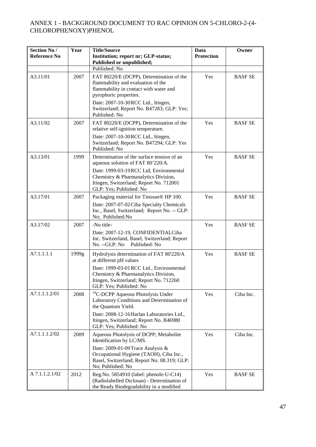| <b>Section No /</b><br><b>Reference No</b> | Year  | <b>Title/Source</b><br>Institution; report nr; GLP-status;                                                                                                                                                                                              | Data<br><b>Protection</b> | Owner          |
|--------------------------------------------|-------|---------------------------------------------------------------------------------------------------------------------------------------------------------------------------------------------------------------------------------------------------------|---------------------------|----------------|
|                                            |       | Published or unpublished;                                                                                                                                                                                                                               |                           |                |
|                                            |       | Published: No                                                                                                                                                                                                                                           |                           |                |
| A3.11/01                                   | 2007  | FAT 80220/E (DCPP), Determination of the<br>flammability and evaluation of the<br>flammability in contact with water and<br>pyrophoric properties.<br>Date: 2007-10-30 RCC Ltd., Itingen,<br>Switzerland; Report No. B47283; GLP: Yes;<br>Published: No | Yes                       | <b>BASF SE</b> |
| A3.11/02                                   | 2007  | FAT 80220/E (DCPP), Determination of the<br>relative self-ignition temperature.<br>Date: 2007-10-30 RCC Ltd., Itingen,<br>Switzerland; Report No. B47294; GLP: Yes<br>Published: No                                                                     | Yes                       | <b>BASFSE</b>  |
| A3.13/01                                   | 1999  | Determination of the surface tension of an<br>aqueous solution of FAT 80'220/A.<br>Date: 1999-03-19 RCC Ltd, Environmental<br>Chemistry & Pharmanalytics Division,<br>Itingen, Switzerland; Report No. 712001<br>GLP: Yes; Published: No                | Yes                       | <b>BASF SE</b> |
| A3.17/01                                   | 2007  | Packaging material for Tinosan® HP 100.<br>Date: 2007-07-02 Ciba Specialty Chemicals<br>Inc., Basel, Switzerland; Report No. -- GLP:<br>No; Published:No                                                                                                | Yes                       | <b>BASF SE</b> |
| A3.17/02                                   | 2007  | -No title-<br>Date: 2007-12-19, CONFIDENTIALCiba<br>Inc. Switzerland, Basel, Switzerland; Report<br>No. --GLP: No<br>Published: No                                                                                                                      | Yes                       | <b>BASF SE</b> |
| A7.1.1.1.1                                 | 1999g | Hydrolysis determination of FAT 80'220/A<br>at different pH values<br>Date: 1999-03-01 RCC Ltd., Environmental<br>Chemistry & Pharmanalytics Division,<br>Itingen, Switzerland; Report No. 712260<br>GLP: Yes; Published: No                            | Yes                       | <b>BASF SE</b> |
| A7.1.1.1.2/01                              | 2008  | <sup>14</sup> C-DCPP Aqueous Photolysis Under<br>Laboratory Conditions and Determination of<br>the Quantum Yield.<br>Date: 2008-12-16 Harlan Laboratories Ltd.,<br>Itingen, Switzerland; Report No. B46980<br>GLP: Yes; Published: No                   | Yes                       | Ciba Inc.      |
| A7.1.1.1.2/02                              | 2009  | Aqueous Photolysis of DCPP; Metabolite<br>Identification by LC/MS.<br>Date: 2009-01-09 Trace Analysis &<br>Occupational Hygiene (TAOH), Ciba Inc.,<br>Basel, Switzerland; Report No. 08.319; GLP:<br>No; Published: No                                  | Yes                       | Ciba Inc.      |
| A 7.1.1.2.1/02                             | 2012  | Reg.No. 5854910 (label: phenole-U-C14)<br>(Radiolabelled Diclosan) - Determination of<br>the Ready Biodegradability in a modified                                                                                                                       | Yes                       | <b>BASF SE</b> |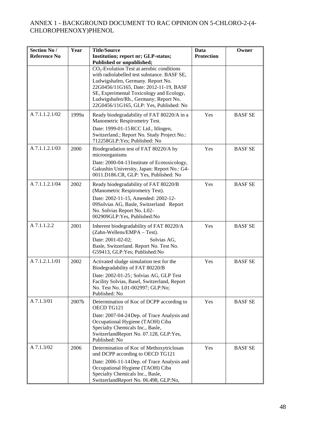| Section No /<br><b>Reference No</b> | Year  | <b>Title/Source</b><br>Institution; report nr; GLP-status;<br>Published or unpublished;                                                                                                                                                                                                                   | Data<br><b>Protection</b> | Owner          |
|-------------------------------------|-------|-----------------------------------------------------------------------------------------------------------------------------------------------------------------------------------------------------------------------------------------------------------------------------------------------------------|---------------------------|----------------|
|                                     |       | $CO2$ -Evolution Test at aerobic conditions<br>with radiolabelled test substance. BASF SE,<br>Ludwigshafen, Germany. Report No.<br>22G0456/11G165, Date: 2012-11-19, BASF<br>SE, Experimental Toxicology and Ecology,<br>Ludwigshafen/Rh., Germany; Report No.<br>22G0456/11G165, GLP: Yes, Published: No |                           |                |
| A 7.1.1.2.1/02                      | 1999a | Ready biodegradability of FAT 80220/A in a<br>Manometric Respirometry Test.<br>Date: 1999-01-15 RCC Ltd., Itlingen,<br>Switzerland.; Report No. Study Project No.:<br>712258GLP: Yes; Published: No                                                                                                       | Yes                       | <b>BASF SE</b> |
| A 7.1.1.2.1/03                      | 2000  | Biodegradation test of FAT 80220/A by<br>microorganisms<br>Date: 2000-04-13 Institute of Ecotoxicology,<br>Gakushin University, Japan: Report No.: G4-<br>0011.D186.CR, GLP: Yes, Published: No                                                                                                           | Yes                       | <b>BASF SE</b> |
| A 7.1.1.2.1/04                      | 2002  | Ready biodegradability of FAT 80220/B<br>(Manometric Respirometry Test).<br>Date: 2002-11-15, Amended: 2002-12-<br>09Solvias AG, Basle, Switzerland Report<br>No. Solvias Report No. L02-<br>002909GLP: Yes, Published: No                                                                                | Yes                       | <b>BASF SE</b> |
| A 7.1.1.2.2                         | 2001  | Inherent biodegradability of FAT 80220/A<br>(Zahn-Wellens/EMPA - Test).<br>Date: 2001-02-02;<br>Solvias AG,<br>Basle, Switzerland. Report No. Test No.<br>G59413, GLP:Yes; Published:No                                                                                                                   | Yes                       | <b>BASF SE</b> |
| A 7.1.2.1.1/01                      | 2002  | Activated sludge simulation test for the<br>Biodegradability of FAT 80220/B<br>Date: 2002-01-25; Solvias AG, GLP Test<br>Facility Solvias, Basel, Switzerland, Report<br>No. Test No. L01-002997; GLP:No;<br>Published: No                                                                                | Yes                       | <b>BASF SE</b> |
| A 7.1.3/01                          | 2007b | Determination of Koc of DCPP according to<br>OECD TG121<br>Date: 2007-04-24 Dep. of Trace Analysis and<br>Occupational Hygiene (TAOH) Ciba<br>Specialty Chemicals Inc., Basle,<br>SwitzerlandReport No. 07.128, GLP:Yes,<br>Published: No                                                                 | Yes                       | <b>BASF SE</b> |
| A 7.1.3/02                          | 2006  | Determination of Koc of Methoxytriclosan<br>und DCPP according to OECD TG121<br>Date: 2006-11-14 Dep. of Trace Analysis and<br>Occupational Hygiene (TAOH) Ciba<br>Specialty Chemicals Inc., Basle,<br>SwitzerlandReport No. 06.498, GLP:No,                                                              | Yes                       | <b>BASF SE</b> |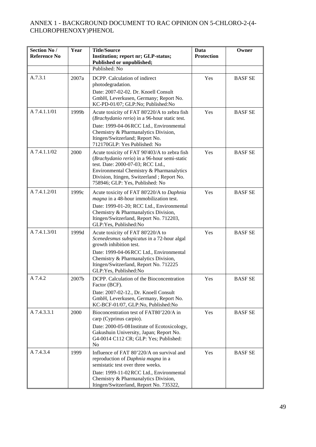| Section No /<br><b>Reference No</b> | Year  | <b>Title/Source</b><br>Institution; report nr; GLP-status;<br>Published or unpublished;                                                                                                                                                                           | Data<br><b>Protection</b> | Owner          |
|-------------------------------------|-------|-------------------------------------------------------------------------------------------------------------------------------------------------------------------------------------------------------------------------------------------------------------------|---------------------------|----------------|
|                                     |       | Published: No                                                                                                                                                                                                                                                     |                           |                |
| A.7.3.1                             | 2007a | DCPP. Calculation of indirect<br>photodegradation.<br>Date: 2007-02-02. Dr. Knoell Consult<br>GmbH, Leverkusen, Germany; Report No.<br>KC-PD-01/07; GLP:No; Published:No                                                                                          | Yes                       | <b>BASF SE</b> |
| A 7.4.1.1/01                        | 1999b | Acute toxicity of FAT 80'220/A to zebra fish<br>(Brachydanio rerio) in a 96-hour static test.<br>Date: 1999-04-06 RCC Ltd., Environmental<br>Chemistry & Pharmanalytics Division,<br>Itingen/Switzerland; Report No.<br>712170GLP: Yes Published: No              | Yes                       | <b>BASF SE</b> |
| A 7.4.1.1/02                        | 2000  | Acute toxicity of FAT 90'403/A to zebra fish<br>(Brachydanio rerio) in a 96-hour semi-static<br>test. Date: 2000-07-03; RCC Ltd.,<br>Environmental Chemistry & Pharmanalytics<br>Division, Itingen, Switzerland; Report No.<br>758946; GLP: Yes, Published: No    | Yes                       | <b>BASF SE</b> |
| A 7.4.1.2/01                        | 1999c | Acute toxicity of FAT 80'220/A to Daphnia<br>magna in a 48-hour immobilization test.<br>Date: 1999-01-20; RCC Ltd., Environmental<br>Chemistry & Pharmanalytics Division,<br>Itingen/Switzerland, Report No. 712203,<br>GLP: Yes, Published: No                   | Yes                       | <b>BASF SE</b> |
| A 7.4.1.3/01                        | 1999d | Acute toxicity of FAT 80'220/A to<br>Scenedesmus subspicatus in a 72-hour algal<br>growth inhibition test.<br>Date: 1999-04-06 RCC Ltd., Environmental<br>Chemistry & Pharmanalytics Division,<br>Itingen/Switzerland, Report No. 712225<br>GLP:Yes, Published:No | Yes                       | <b>BASF SE</b> |
| A 7.4.2                             | 2007b | DCPP. Calculation of the Bioconcentration<br>Factor (BCF).<br>Date: 2007-02-12., Dr. Knoell Consult<br>GmbH, Leverkusen, Germany, Report No.<br>KC-BCF-01/07, GLP:No, Published:No                                                                                | Yes                       | <b>BASF SE</b> |
| A 7.4.3.3.1                         | 2000  | Bioconcentration test of FAT80'220/A in<br>carp (Cyprinus carpio).<br>Date: 2000-05-08 Institute of Ecotoxicology,<br>Gakushuin University, Japan; Report No.<br>G4-0014 C112 CR; GLP: Yes; Published:<br>No                                                      | Yes                       | <b>BASF SE</b> |
| A 7.4.3.4                           | 1999  | Influence of FAT 80'220/A on survival and<br>reproduction of Daphnia magna in a<br>semistatic test over three weeks.<br>Date: 1999-11-02 RCC Ltd., Environmental<br>Chemistry & Pharmanalytics Division,<br>Itingen/Switzerland, Report No. 735322,               | Yes                       | <b>BASF SE</b> |